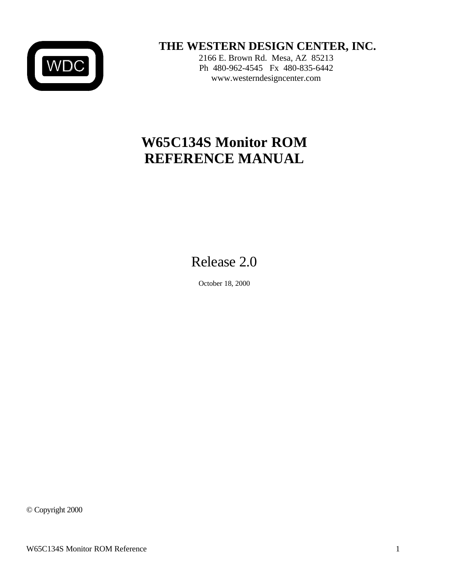

 **THE WESTERN DESIGN CENTER, INC.**

2166 E. Brown Rd. Mesa, AZ 85213 Ph 480-962-4545 Fx 480-835-6442 www.westerndesigncenter.com

# **W65C134S Monitor ROM REFERENCE MANUAL**

# Release 2.0

October 18, 2000

© Copyright 2000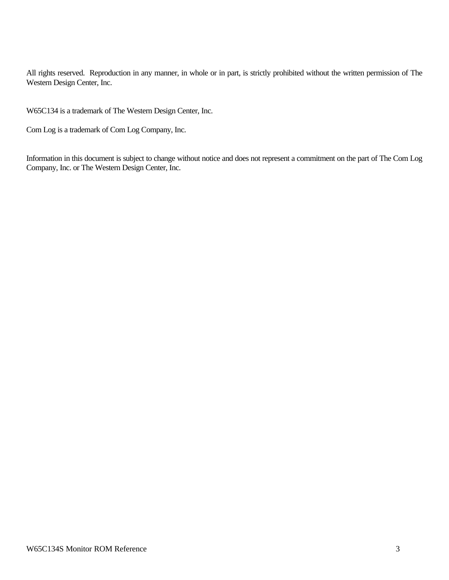All rights reserved. Reproduction in any manner, in whole or in part, is strictly prohibited without the written permission of The Western Design Center, Inc.

W65C134 is a trademark of The Western Design Center, Inc.

Com Log is a trademark of Com Log Company, Inc.

Information in this document is subject to change without notice and does not represent a commitment on the part of The Com Log Company, Inc. or The Western Design Center, Inc.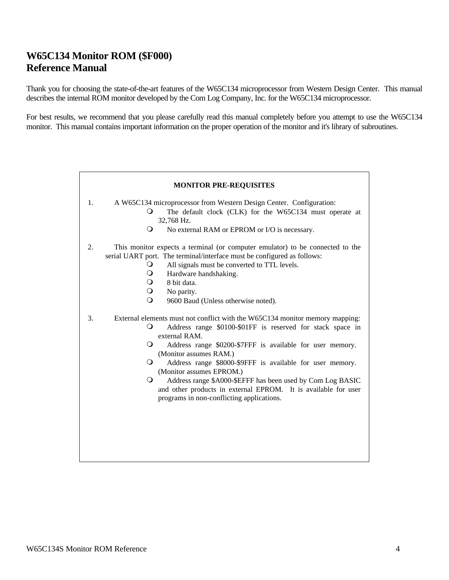# **W65C134 Monitor ROM (\$F000) Reference Manual**

Thank you for choosing the state-of-the-art features of the W65C134 microprocessor from Western Design Center. This manual describes the internal ROM monitor developed by the Com Log Company, Inc. for the W65C134 microprocessor.

For best results, we recommend that you please carefully read this manual completely before you attempt to use the W65C134 monitor. This manual contains important information on the proper operation of the monitor and it's library of subroutines.

| <b>MONITOR PRE-REQUISITES</b> |                                                                                                                                                                                                                                                                                                                                                                                                                                                                                                                                                                   |  |  |
|-------------------------------|-------------------------------------------------------------------------------------------------------------------------------------------------------------------------------------------------------------------------------------------------------------------------------------------------------------------------------------------------------------------------------------------------------------------------------------------------------------------------------------------------------------------------------------------------------------------|--|--|
| 1.                            | A W65C134 microprocessor from Western Design Center. Configuration:<br>The default clock (CLK) for the W65C134 must operate at<br>$\circ$<br>32,768 Hz.<br>$\Omega$<br>No external RAM or EPROM or I/O is necessary.                                                                                                                                                                                                                                                                                                                                              |  |  |
| 2.                            | This monitor expects a terminal (or computer emulator) to be connected to the<br>serial UART port. The terminal/interface must be configured as follows:<br>All signals must be converted to TTL levels.<br>$\circ$<br>$\bigcirc$<br>Hardware handshaking.<br>$\Omega$<br>8 bit data.<br>$\circ$<br>No parity.<br>$\Omega$<br>9600 Baud (Unless otherwise noted).                                                                                                                                                                                                 |  |  |
| 3.                            | External elements must not conflict with the W65C134 monitor memory mapping:<br>O<br>Address range \$0100-\$01FF is reserved for stack space in<br>external RAM.<br>$\Omega$<br>Address range \$0200-\$7FFF is available for user memory.<br>(Monitor assumes RAM.)<br>Address range \$8000-\$9FFF is available for user memory.<br>$\Omega$<br>(Monitor assumes EPROM.)<br>$\Omega$<br>Address range \$A000-\$EFFF has been used by Com Log BASIC<br>and other products in external EPROM. It is available for user<br>programs in non-conflicting applications. |  |  |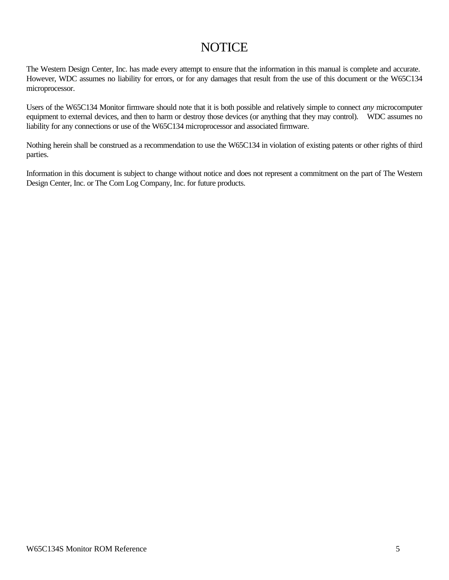# **NOTICE**

The Western Design Center, Inc. has made every attempt to ensure that the information in this manual is complete and accurate. However, WDC assumes no liability for errors, or for any damages that result from the use of this document or the W65C134 microprocessor.

Users of the W65C134 Monitor firmware should note that it is both possible and relatively simple to connect *any* microcomputer equipment to external devices, and then to harm or destroy those devices (or anything that they may control). WDC assumes no liability for any connections or use of the W65C134 microprocessor and associated firmware.

Nothing herein shall be construed as a recommendation to use the W65C134 in violation of existing patents or other rights of third parties.

Information in this document is subject to change without notice and does not represent a commitment on the part of The Western Design Center, Inc. or The Com Log Company, Inc. for future products.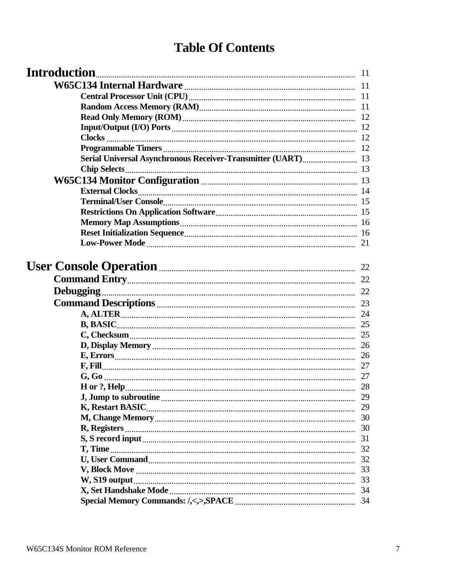# **Table Of Contents**

| <b>Introduction</b>                                          |    |
|--------------------------------------------------------------|----|
|                                                              |    |
|                                                              |    |
|                                                              |    |
|                                                              |    |
|                                                              |    |
|                                                              |    |
|                                                              |    |
| Serial Universal Asynchronous Receiver-Transmitter (UART) 13 |    |
|                                                              |    |
|                                                              |    |
|                                                              |    |
|                                                              |    |
|                                                              |    |
|                                                              |    |
|                                                              |    |
|                                                              |    |
|                                                              |    |
|                                                              |    |
|                                                              |    |
|                                                              |    |
|                                                              |    |
|                                                              |    |
|                                                              |    |
|                                                              |    |
|                                                              |    |
|                                                              |    |
|                                                              |    |
|                                                              |    |
|                                                              |    |
|                                                              | 29 |
|                                                              |    |
|                                                              | 30 |
|                                                              | 30 |
|                                                              | 31 |
|                                                              | 32 |
|                                                              | 32 |
|                                                              | 33 |
| W, S19 output                                                | 33 |
|                                                              | 34 |
|                                                              | 34 |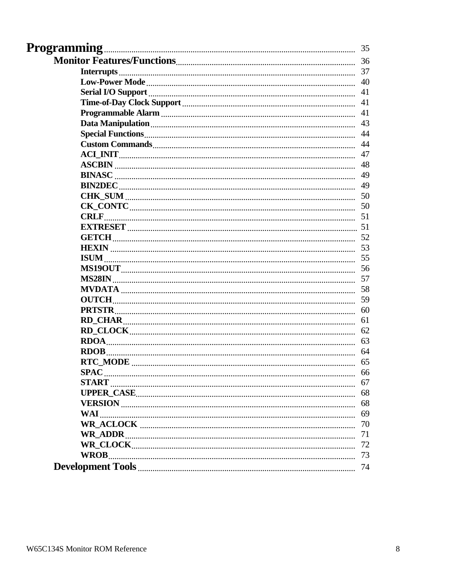| <b>Programming</b>                                                                                                                                                                                                                   | 35 |
|--------------------------------------------------------------------------------------------------------------------------------------------------------------------------------------------------------------------------------------|----|
|                                                                                                                                                                                                                                      | 36 |
|                                                                                                                                                                                                                                      | 37 |
|                                                                                                                                                                                                                                      | 40 |
|                                                                                                                                                                                                                                      | 41 |
|                                                                                                                                                                                                                                      | 41 |
|                                                                                                                                                                                                                                      | 41 |
|                                                                                                                                                                                                                                      | 43 |
|                                                                                                                                                                                                                                      | 44 |
|                                                                                                                                                                                                                                      | 44 |
|                                                                                                                                                                                                                                      | 47 |
|                                                                                                                                                                                                                                      | 48 |
|                                                                                                                                                                                                                                      | 49 |
|                                                                                                                                                                                                                                      | 49 |
|                                                                                                                                                                                                                                      | 50 |
|                                                                                                                                                                                                                                      | 50 |
| <b>CRLF</b>                                                                                                                                                                                                                          |    |
|                                                                                                                                                                                                                                      |    |
|                                                                                                                                                                                                                                      | 52 |
|                                                                                                                                                                                                                                      |    |
|                                                                                                                                                                                                                                      |    |
|                                                                                                                                                                                                                                      | 56 |
|                                                                                                                                                                                                                                      |    |
|                                                                                                                                                                                                                                      | 58 |
| OUTCH <b>with the contract of the contract of the contract of the contract of the contract of the contract of the contract of the contract of the contract of the contract of the contract of the contract of the contract of th</b> | 59 |
| PRTSTR                                                                                                                                                                                                                               | 60 |
|                                                                                                                                                                                                                                      | 61 |
|                                                                                                                                                                                                                                      | 62 |
|                                                                                                                                                                                                                                      | 63 |
| <b>RDOB</b>                                                                                                                                                                                                                          | 64 |
|                                                                                                                                                                                                                                      | 65 |
| <b>SPAC</b>                                                                                                                                                                                                                          | 66 |
|                                                                                                                                                                                                                                      | 67 |
|                                                                                                                                                                                                                                      | 68 |
|                                                                                                                                                                                                                                      | 68 |
| WAI                                                                                                                                                                                                                                  | 69 |
|                                                                                                                                                                                                                                      | 70 |
|                                                                                                                                                                                                                                      | 71 |
|                                                                                                                                                                                                                                      | 72 |
|                                                                                                                                                                                                                                      | 73 |
|                                                                                                                                                                                                                                      | 74 |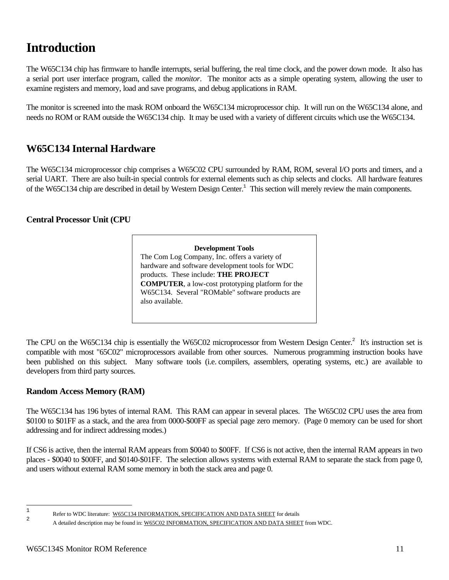# **Introduction**

The W65C134 chip has firmware to handle interrupts, serial buffering, the real time clock, and the power down mode. It also has a serial port user interface program, called the *monitor*. The monitor acts as a simple operating system, allowing the user to examine registers and memory, load and save programs, and debug applications in RAM.

The monitor is screened into the mask ROM onboard the W65C134 microprocessor chip. It will run on the W65C134 alone, and needs no ROM or RAM outside the W65C134 chip. It may be used with a variety of different circuits which use the W65C134.

# **W65C134 Internal Hardware**

The W65C134 microprocessor chip comprises a W65C02 CPU surrounded by RAM, ROM, several I/O ports and timers, and a serial UART. There are also built-in special controls for external elements such as chip selects and clocks. All hardware features of the W65C134 chip are described in detail by Western Design Center.<sup>1</sup> This section will merely review the main components.

# **Central Processor Unit (CPU**

**Development Tools** The Com Log Company, Inc. offers a variety of hardware and software development tools for WDC products. These include: **THE PROJECT COMPUTER**, a low-cost prototyping platform for the W65C134. Several "ROMable" software products are also available.

The CPU on the W65C134 chip is essentially the W65C02 microprocessor from Western Design Center.<sup>2</sup> It's instruction set is compatible with most "65C02" microprocessors available from other sources. Numerous programming instruction books have been published on this subject. Many software tools (i.e. compilers, assemblers, operating systems, etc.) are available to developers from third party sources.

# **Random Access Memory (RAM)**

The W65C134 has 196 bytes of internal RAM. This RAM can appear in several places. The W65C02 CPU uses the area from \$0100 to \$01FF as a stack, and the area from 0000-\$00FF as special page zero memory. (Page 0 memory can be used for short addressing and for indirect addressing modes.)

If CS6 is active, then the internal RAM appears from \$0040 to \$00FF. If CS6 is not active, then the internal RAM appears in two places - \$0040 to \$00FF, and \$0140-\$01FF. The selection allows systems with external RAM to separate the stack from page 0, and users without external RAM some memory in both the stack area and page 0.

 $\frac{1}{1}$ Refer to WDC literature: W65C134 INFORMATION, SPECIFICATION AND DATA SHEET for details  $\overline{2}$ 

A detailed description may be found in: W65C02 INFORMATION, SPECIFICATION AND DATA SHEET from WDC.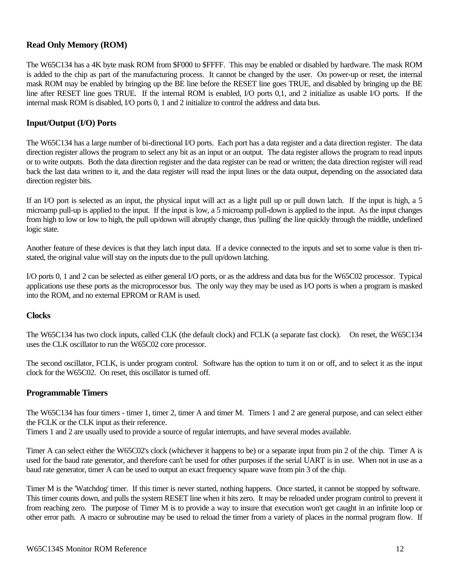# **Read Only Memory (ROM)**

The W65C134 has a 4K byte mask ROM from \$F000 to \$FFFF. This may be enabled or disabled by hardware. The mask ROM is added to the chip as part of the manufacturing process. It cannot be changed by the user. On power-up or reset, the internal mask ROM may be enabled by bringing up the BE line before the RESET line goes TRUE, and disabled by bringing up the BE line after RESET line goes TRUE. If the internal ROM is enabled, I/O ports 0,1, and 2 initialize as usable I/O ports. If the internal mask ROM is disabled, I/O ports 0, 1 and 2 initialize to control the address and data bus.

# **Input/Output (I/O) Ports**

The W65C134 has a large number of bi-directional I/O ports. Each port has a data register and a data direction register. The data direction register allows the program to select any bit as an input or an output. The data register allows the program to read inputs or to write outputs. Both the data direction register and the data register can be read or written; the data direction register will read back the last data written to it, and the data register will read the input lines or the data output, depending on the associated data direction register bits.

If an I/O port is selected as an input, the physical input will act as a light pull up or pull down latch. If the input is high, a 5 microamp pull-up is applied to the input. If the input is low, a 5 microamp pull-down is applied to the input. As the input changes from high to low or low to high, the pull up/down will abruptly change, thus 'pulling' the line quickly through the middle, undefined logic state.

Another feature of these devices is that they latch input data. If a device connected to the inputs and set to some value is then tristated, the original value will stay on the inputs due to the pull up/down latching.

I/O ports 0, 1 and 2 can be selected as either general I/O ports, or as the address and data bus for the W65C02 processor. Typical applications use these ports as the microprocessor bus. The only way they may be used as I/O ports is when a program is masked into the ROM, and no external EPROM or RAM is used.

#### **Clocks**

The W65C134 has two clock inputs, called CLK (the default clock) and FCLK (a separate fast clock). On reset, the W65C134 uses the CLK oscillator to run the W65C02 core processor.

The second oscillator, FCLK, is under program control. Software has the option to turn it on or off, and to select it as the input clock for the W65C02. On reset, this oscillator is turned off.

#### **Programmable Timers**

The W65C134 has four timers - timer 1, timer 2, timer A and timer M. Timers 1 and 2 are general purpose, and can select either the FCLK or the CLK input as their reference.

Timers 1 and 2 are usually used to provide a source of regular interrupts, and have several modes available.

Timer A can select either the W65C02's clock (whichever it happens to be) or a separate input from pin 2 of the chip. Timer A is used for the baud rate generator, and therefore can't be used for other purposes if the serial UART is in use. When not in use as a baud rate generator, timer A can be used to output an exact frequency square wave from pin 3 of the chip.

Timer M is the 'Watchdog' timer. If this timer is never started, nothing happens. Once started, it cannot be stopped by software. This timer counts down, and pulls the system RESET line when it hits zero. It may be reloaded under program control to prevent it from reaching zero. The purpose of Timer M is to provide a way to insure that execution won't get caught in an infinite loop or other error path. A macro or subroutine may be used to reload the timer from a variety of places in the normal program flow. If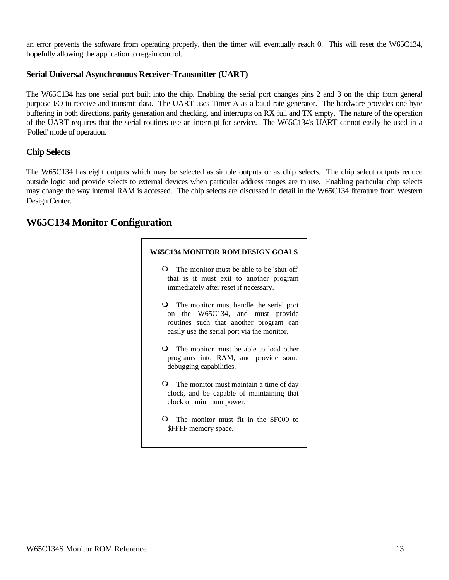an error prevents the software from operating properly, then the timer will eventually reach 0. This will reset the W65C134, hopefully allowing the application to regain control.

# **Serial Universal Asynchronous Receiver-Transmitter (UART)**

The W65C134 has one serial port built into the chip. Enabling the serial port changes pins 2 and 3 on the chip from general purpose I/O to receive and transmit data. The UART uses Timer A as a baud rate generator. The hardware provides one byte buffering in both directions, parity generation and checking, and interrupts on RX full and TX empty. The nature of the operation of the UART requires that the serial routines use an interrupt for service. The W65C134's UART cannot easily be used in a 'Polled' mode of operation.

## **Chip Selects**

The W65C134 has eight outputs which may be selected as simple outputs or as chip selects. The chip select outputs reduce outside logic and provide selects to external devices when particular address ranges are in use. Enabling particular chip selects may change the way internal RAM is accessed. The chip selects are discussed in detail in the W65C134 literature from Western Design Center.

# **W65C134 Monitor Configuration**

| W65C134 MONITOR ROM DESIGN GOALS                                                                                                                                              |
|-------------------------------------------------------------------------------------------------------------------------------------------------------------------------------|
| <b>O</b> The monitor must be able to be 'shut off'<br>that is it must exit to another program<br>immediately after reset if necessary.                                        |
| <b>O</b> The monitor must handle the serial port<br>on the W65C134, and must provide<br>routines such that another program can<br>easily use the serial port via the monitor. |
| <b>Q</b> The monitor must be able to load other<br>programs into RAM, and provide some<br>debugging capabilities.                                                             |
| <b>O</b> The monitor must maintain a time of day<br>clock, and be capable of maintaining that<br>clock on minimum power.                                                      |
| <b>O</b> The monitor must fit in the \$F000 to<br>\$FFFF memory space.                                                                                                        |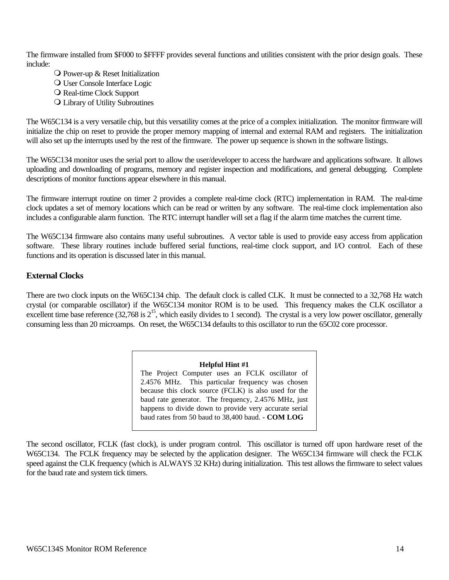The firmware installed from \$F000 to \$FFFF provides several functions and utilities consistent with the prior design goals. These include:

- $\bigcirc$  Power-up & Reset Initialization
- O User Console Interface Logic
- O Real-time Clock Support
- **Q** Library of Utility Subroutines

The W65C134 is a very versatile chip, but this versatility comes at the price of a complex initialization. The monitor firmware will initialize the chip on reset to provide the proper memory mapping of internal and external RAM and registers. The initialization will also set up the interrupts used by the rest of the firmware. The power up sequence is shown in the software listings.

The W65C134 monitor uses the serial port to allow the user/developer to access the hardware and applications software. It allows uploading and downloading of programs, memory and register inspection and modifications, and general debugging. Complete descriptions of monitor functions appear elsewhere in this manual.

The firmware interrupt routine on timer 2 provides a complete real-time clock (RTC) implementation in RAM. The real-time clock updates a set of memory locations which can be read or written by any software. The real-time clock implementation also includes a configurable alarm function. The RTC interrupt handler will set a flag if the alarm time matches the current time.

The W65C134 firmware also contains many useful subroutines. A vector table is used to provide easy access from application software. These library routines include buffered serial functions, real-time clock support, and I/O control. Each of these functions and its operation is discussed later in this manual.

# **External Clocks**

There are two clock inputs on the W65C134 chip. The default clock is called CLK. It must be connected to a 32,768 Hz watch crystal (or comparable oscillator) if the W65C134 monitor ROM is to be used. This frequency makes the CLK oscillator a excellent time base reference  $(32,768 \text{ is } 2^{15})$ , which easily divides to 1 second). The crystal is a very low power oscillator, generally consuming less than 20 microamps. On reset, the W65C134 defaults to this oscillator to run the 65C02 core processor.

#### **Helpful Hint #1**

The Project Computer uses an FCLK oscillator of 2.4576 MHz. This particular frequency was chosen because this clock source (FCLK) is also used for the baud rate generator. The frequency, 2.4576 MHz, just happens to divide down to provide very accurate serial baud rates from 50 baud to 38,400 baud. **- COM LOG**

The second oscillator, FCLK (fast clock), is under program control. This oscillator is turned off upon hardware reset of the W65C134. The FCLK frequency may be selected by the application designer. The W65C134 firmware will check the FCLK speed against the CLK frequency (which is ALWAYS 32 KHz) during initialization. This test allows the firmware to select values for the baud rate and system tick timers.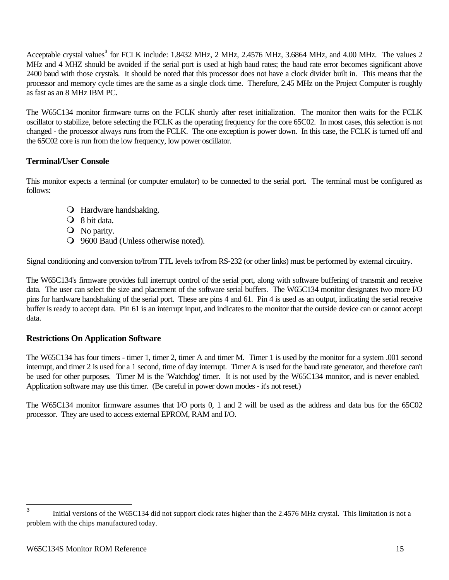Acceptable crystal values<sup>3</sup> for FCLK include: 1.8432 MHz, 2 MHz, 2.4576 MHz, 3.6864 MHz, and 4.00 MHz. The values 2 MHz and 4 MHZ should be avoided if the serial port is used at high baud rates; the baud rate error becomes significant above 2400 baud with those crystals. It should be noted that this processor does not have a clock divider built in. This means that the processor and memory cycle times are the same as a single clock time. Therefore, 2.45 MHz on the Project Computer is roughly as fast as an 8 MHz IBM PC.

The W65C134 monitor firmware turns on the FCLK shortly after reset initialization. The monitor then waits for the FCLK oscillator to stabilize, before selecting the FCLK as the operating frequency for the core 65C02. In most cases, this selection is not changed - the processor always runs from the FCLK. The one exception is power down. In this case, the FCLK is turned off and the 65C02 core is run from the low frequency, low power oscillator.

# **Terminal/User Console**

This monitor expects a terminal (or computer emulator) to be connected to the serial port. The terminal must be configured as follows:

- **O** Hardware handshaking.
- $\bigcirc$  8 bit data.
- **O** No parity.
- **O** 9600 Baud (Unless otherwise noted).

Signal conditioning and conversion to/from TTL levels to/from RS-232 (or other links) must be performed by external circuitry.

The W65C134's firmware provides full interrupt control of the serial port, along with software buffering of transmit and receive data. The user can select the size and placement of the software serial buffers. The W65C134 monitor designates two more I/O pins for hardware handshaking of the serial port. These are pins 4 and 61. Pin 4 is used as an output, indicating the serial receive buffer is ready to accept data. Pin 61 is an interrupt input, and indicates to the monitor that the outside device can or cannot accept data.

# **Restrictions On Application Software**

The W65C134 has four timers - timer 1, timer 2, timer A and timer M. Timer 1 is used by the monitor for a system .001 second interrupt, and timer 2 is used for a 1 second, time of day interrupt. Timer A is used for the baud rate generator, and therefore can't be used for other purposes. Timer M is the 'Watchdog' timer. It is not used by the W65C134 monitor, and is never enabled. Application software may use this timer. (Be careful in power down modes - it's not reset.)

The W65C134 monitor firmware assumes that I/O ports 0, 1 and 2 will be used as the address and data bus for the 65C02 processor. They are used to access external EPROM, RAM and I/O.

 3 Initial versions of the W65C134 did not support clock rates higher than the 2.4576 MHz crystal. This limitation is not a problem with the chips manufactured today.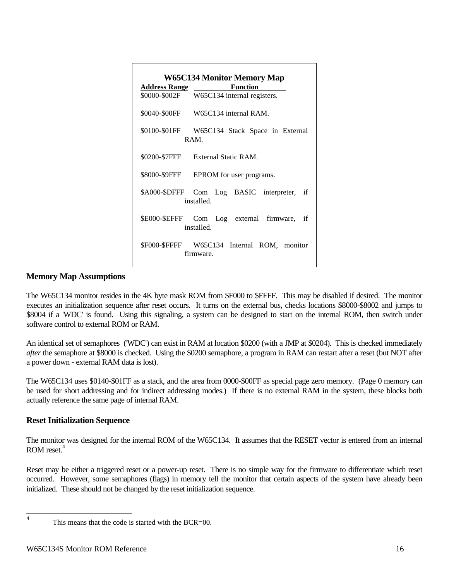| <b>W65C134 Monitor Memory Map</b><br><b>Function</b><br>Address Range |                                                             |  |  |  |
|-----------------------------------------------------------------------|-------------------------------------------------------------|--|--|--|
|                                                                       | \$0000-\$002F W65C134 internal registers.                   |  |  |  |
|                                                                       | \$0040-\$00FF W65C134 internal RAM.                         |  |  |  |
|                                                                       | \$0100-\$01FF W65C134 Stack Space in External<br><b>RAM</b> |  |  |  |
|                                                                       | \$0200-\$7FFF External Static RAM.                          |  |  |  |
|                                                                       | \$8000-\$9FFF EPROM for user programs.                      |  |  |  |
|                                                                       | \$A000-\$DFFF Com Log BASIC interpreter, if<br>installed    |  |  |  |
|                                                                       | \$E000-\$EFFF Com Log external firmware, if<br>installed.   |  |  |  |
|                                                                       | \$F000-\$FFFF W65C134 Internal ROM, monitor<br>firmware     |  |  |  |

# **Memory Map Assumptions**

The W65C134 monitor resides in the 4K byte mask ROM from \$F000 to \$FFFF. This may be disabled if desired. The monitor executes an initialization sequence after reset occurs. It turns on the external bus, checks locations \$8000-\$8002 and jumps to \$8004 if a 'WDC' is found. Using this signaling, a system can be designed to start on the internal ROM, then switch under software control to external ROM or RAM.

An identical set of semaphores ('WDC') can exist in RAM at location \$0200 (with a JMP at \$0204). This is checked immediately *after* the semaphore at \$8000 is checked. Using the \$0200 semaphore, a program in RAM can restart after a reset (but NOT after a power down - external RAM data is lost).

The W65C134 uses \$0140-\$01FF as a stack, and the area from 0000-\$00FF as special page zero memory. (Page 0 memory can be used for short addressing and for indirect addressing modes.) If there is no external RAM in the system, these blocks both actually reference the same page of internal RAM.

# **Reset Initialization Sequence**

The monitor was designed for the internal ROM of the W65C134. It assumes that the RESET vector is entered from an internal ROM reset.<sup>4</sup>

Reset may be either a triggered reset or a power-up reset. There is no simple way for the firmware to differentiate which reset occurred. However, some semaphores (flags) in memory tell the monitor that certain aspects of the system have already been initialized. These should not be changed by the reset initialization sequence.

 $\frac{1}{4}$ 

This means that the code is started with the BCR=00.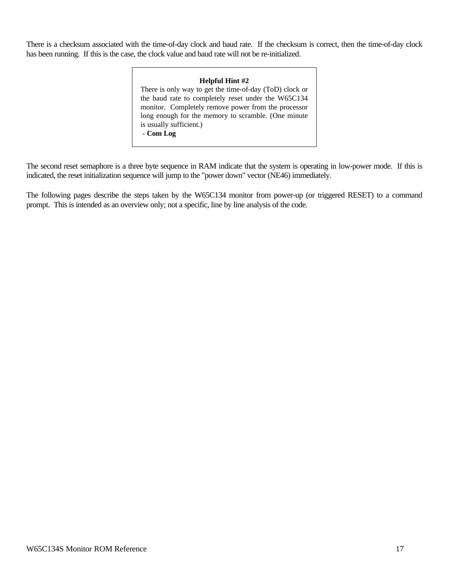There is a checksum associated with the time-of-day clock and baud rate. If the checksum is correct, then the time-of-day clock has been running. If this is the case, the clock value and baud rate will not be re-initialized.

#### **Helpful Hint #2**

There is only way to get the time-of-day (ToD) clock or the baud rate to completely reset under the W65C134 monitor. Completely remove power from the processor long enough for the memory to scramble. (One minute is usually sufficient.) - **Com Log**

The second reset semaphore is a three byte sequence in RAM indicate that the system is operating in low-power mode. If this is indicated, the reset initialization sequence will jump to the "power down" vector (NE46) immediately.

The following pages describe the steps taken by the W65C134 monitor from power-up (or triggered RESET) to a command prompt. This is intended as an overview only; not a specific, line by line analysis of the code.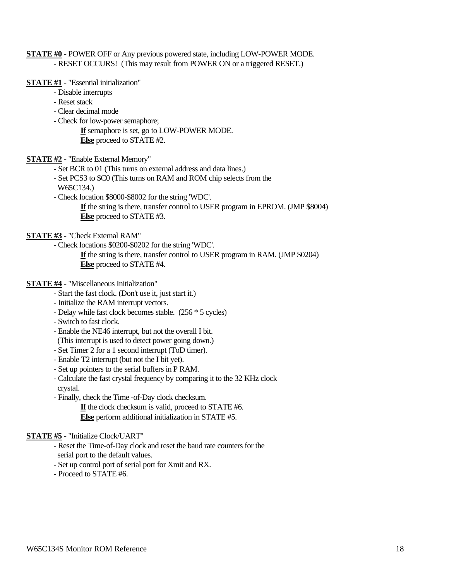#### **STATE #0** - POWER OFF or Any previous powered state, including LOW-POWER MODE. - RESET OCCURS! (This may result from POWER ON or a triggered RESET.)

#### **STATE #1** - "Essential initialization"

- Disable interrupts
- Reset stack
- Clear decimal mode
- Check for low-power semaphore;
	- **If** semaphore is set, go to LOW-POWER MODE. **Else** proceed to STATE #2.

#### **STATE #2** - "Enable External Memory"

- Set BCR to 01 (This turns on external address and data lines.)
- Set PCS3 to \$C0 (This turns on RAM and ROM chip selects from the
- W65C134.)
- Check location \$8000-\$8002 for the string 'WDC'.

**If** the string is there, transfer control to USER program in EPROM. (JMP \$8004) **Else** proceed to STATE #3.

### **STATE #3** - "Check External RAM"

- Check locations \$0200-\$0202 for the string 'WDC'.

**If** the string is there, transfer control to USER program in RAM. (JMP \$0204) **Else** proceed to STATE #4.

## **STATE #4** - "Miscellaneous Initialization"

- Start the fast clock. (Don't use it, just start it.)
- Initialize the RAM interrupt vectors.
- Delay while fast clock becomes stable. (256 \* 5 cycles)
- Switch to fast clock.
- Enable the NE46 interrupt, but not the overall I bit.
- (This interrupt is used to detect power going down.)
- Set Timer 2 for a 1 second interrupt (ToD timer).
- Enable T2 interrupt (but not the I bit yet).
- Set up pointers to the serial buffers in P RAM.
- Calculate the fast crystal frequency by comparing it to the 32 KHz clock
- crystal.
- Finally, check the Time -of-Day clock checksum.
	- **If** the clock checksum is valid, proceed to STATE #6.
	- **Else** perform additional initialization in STATE #5.

#### **STATE #5** - "Initialize Clock/UART"

- Reset the Time-of-Day clock and reset the baud rate counters for the serial port to the default values.
- Set up control port of serial port for Xmit and RX.
- Proceed to STATE #6.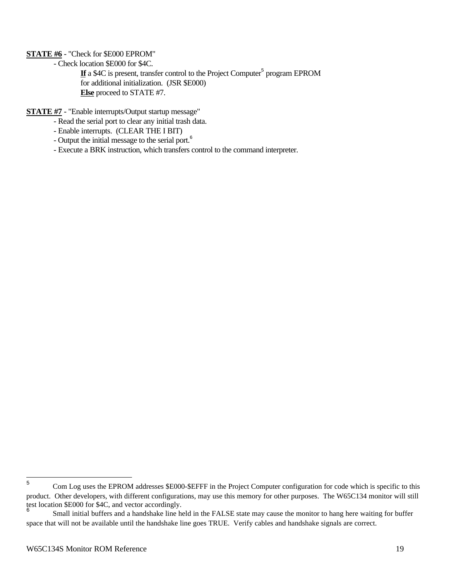## **STATE #6** - "Check for \$E000 EPROM"

- Check location \$E000 for \$4C.

If a \$4C is present, transfer control to the Project Computer<sup>5</sup> program EPROM for additional initialization. (JSR \$E000) **Else** proceed to STATE #7.

**STATE #7** - "Enable interrupts/Output startup message"

- Read the serial port to clear any initial trash data.
- Enable interrupts. (CLEAR THE I BIT)
- Output the initial message to the serial port.<sup>6</sup>
- Execute a BRK instruction, which transfers control to the command interpreter.

 5 Com Log uses the EPROM addresses \$E000-\$EFFF in the Project Computer configuration for code which is specific to this product. Other developers, with different configurations, may use this memory for other purposes. The W65C134 monitor will still test location \$E000 for \$4C, and vector accordingly. 6

Small initial buffers and a handshake line held in the FALSE state may cause the monitor to hang here waiting for buffer space that will not be available until the handshake line goes TRUE. Verify cables and handshake signals are correct.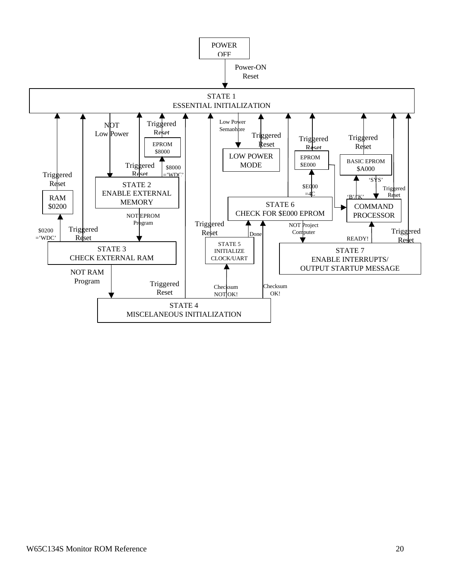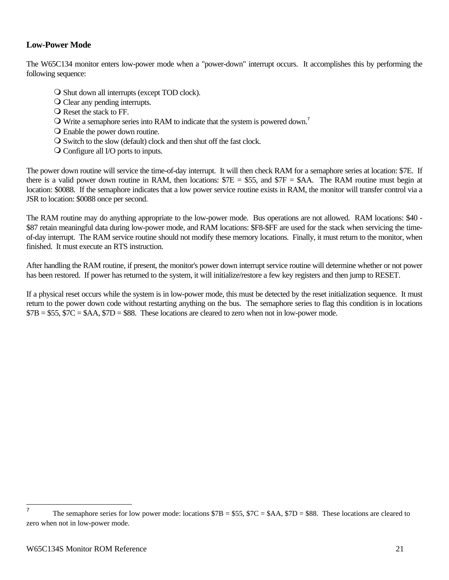# **Low-Power Mode**

The W65C134 monitor enters low-power mode when a "power-down" interrupt occurs. It accomplishes this by performing the following sequence:

- O Shut down all interrupts (except TOD clock).
- O Clear any pending interrupts.
- $\bigcirc$  Reset the stack to FF.
- $\Omega$  Write a semaphore series into RAM to indicate that the system is powered down.<sup>7</sup>
- $\overline{O}$  Enable the power down routine.
- $\overline{O}$  Switch to the slow (default) clock and then shut off the fast clock.
- $\overline{O}$  Configure all I/O ports to inputs.

The power down routine will service the time-of-day interrupt. It will then check RAM for a semaphore series at location: \$7E. If there is a valid power down routine in RAM, then locations:  $7E = $55$ , and  $7F = $AA$ . The RAM routine must begin at location: \$0088. If the semaphore indicates that a low power service routine exists in RAM, the monitor will transfer control via a JSR to location: \$0088 once per second.

The RAM routine may do anything appropriate to the low-power mode. Bus operations are not allowed. RAM locations: \$40 - \$87 retain meaningful data during low-power mode, and RAM locations: \$F8-\$FF are used for the stack when servicing the timeof-day interrupt. The RAM service routine should not modify these memory locations. Finally, it must return to the monitor, when finished. It must execute an RTS instruction.

After handling the RAM routine, if present, the monitor's power down interrupt service routine will determine whether or not power has been restored. If power has returned to the system, it will initialize/restore a few key registers and then jump to RESET.

If a physical reset occurs while the system is in low-power mode, this must be detected by the reset initialization sequence. It must return to the power down code without restarting anything on the bus. The semaphore series to flag this condition is in locations  $$7B = $55, $7C = $AA, $7D = $88$ . These locations are cleared to zero when not in low-power mode.

 7 The semaphore series for low power mode: locations  $$7B = $55$ ,  $$7C = $AA$ ,  $$7D = $88$ . These locations are cleared to zero when not in low-power mode.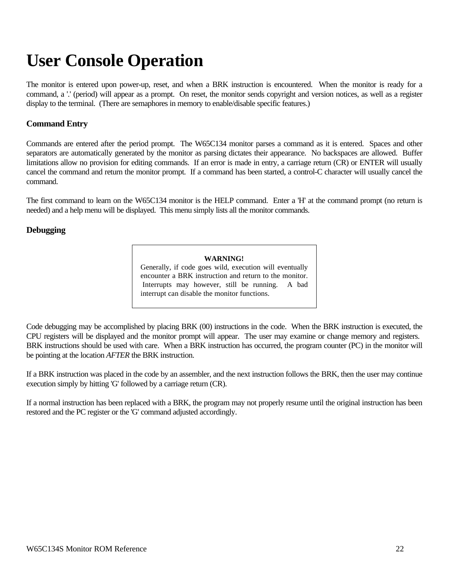# **User Console Operation**

The monitor is entered upon power-up, reset, and when a BRK instruction is encountered. When the monitor is ready for a command, a '.' (period) will appear as a prompt. On reset, the monitor sends copyright and version notices, as well as a register display to the terminal. (There are semaphores in memory to enable/disable specific features.)

# **Command Entry**

Commands are entered after the period prompt. The W65C134 monitor parses a command as it is entered. Spaces and other separators are automatically generated by the monitor as parsing dictates their appearance. No backspaces are allowed. Buffer limitations allow no provision for editing commands. If an error is made in entry, a carriage return (CR) or ENTER will usually cancel the command and return the monitor prompt. If a command has been started, a control-C character will usually cancel the command.

The first command to learn on the W65C134 monitor is the HELP command. Enter a 'H' at the command prompt (no return is needed) and a help menu will be displayed. This menu simply lists all the monitor commands.

# **Debugging**

#### **WARNING!**

Generally, if code goes wild, execution will eventually encounter a BRK instruction and return to the monitor. Interrupts may however, still be running. A bad interrupt can disable the monitor functions.

Code debugging may be accomplished by placing BRK (00) instructions in the code. When the BRK instruction is executed, the CPU registers will be displayed and the monitor prompt will appear. The user may examine or change memory and registers. BRK instructions should be used with care. When a BRK instruction has occurred, the program counter (PC) in the monitor will be pointing at the location *AFTER* the BRK instruction.

If a BRK instruction was placed in the code by an assembler, and the next instruction follows the BRK, then the user may continue execution simply by hitting 'G' followed by a carriage return (CR).

If a normal instruction has been replaced with a BRK, the program may not properly resume until the original instruction has been restored and the PC register or the 'G' command adjusted accordingly.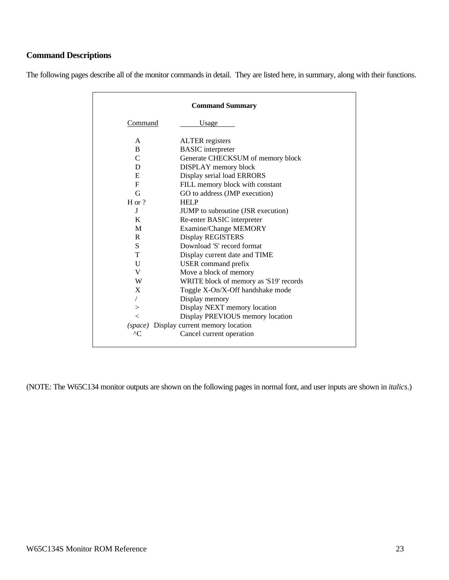# **Command Descriptions**

The following pages describe all of the monitor commands in detail. They are listed here, in summary, along with their functions.

| <b>Command Summary</b> |                                           |  |  |  |
|------------------------|-------------------------------------------|--|--|--|
| Command                | Usage                                     |  |  |  |
| A                      | <b>ALTER</b> registers                    |  |  |  |
| <sub>B</sub>           | <b>BASIC</b> interpreter                  |  |  |  |
| $\mathsf{C}$           | Generate CHECKSUM of memory block         |  |  |  |
| D                      | DISPLAY memory block                      |  |  |  |
| E                      | Display serial load ERRORS                |  |  |  |
| F                      | FILL memory block with constant           |  |  |  |
| G                      | GO to address (JMP execution)             |  |  |  |
| $H$ or ?               | <b>HELP</b>                               |  |  |  |
| J                      | <b>JUMP</b> to subroutine (JSR execution) |  |  |  |
| K                      | Re-enter BASIC interpreter                |  |  |  |
| M                      | Examine/Change MEMORY                     |  |  |  |
| R                      | Display REGISTERS                         |  |  |  |
| S.                     | Download 'S' record format                |  |  |  |
| T                      | Display current date and TIME             |  |  |  |
| U                      | USER command prefix                       |  |  |  |
| V                      | Move a block of memory                    |  |  |  |
| W                      | WRITE block of memory as 'S19' records    |  |  |  |
| X                      | Toggle X-On/X-Off handshake mode          |  |  |  |
| $\sqrt{2}$             | Display memory                            |  |  |  |
| $\geq$                 | Display NEXT memory location              |  |  |  |
| $\lt$                  | Display PREVIOUS memory location          |  |  |  |
|                        | (space) Display current memory location   |  |  |  |
| $^{\wedge}$ C          | Cancel current operation                  |  |  |  |

(NOTE: The W65C134 monitor outputs are shown on the following pages in normal font, and user inputs are shown in *italics*.)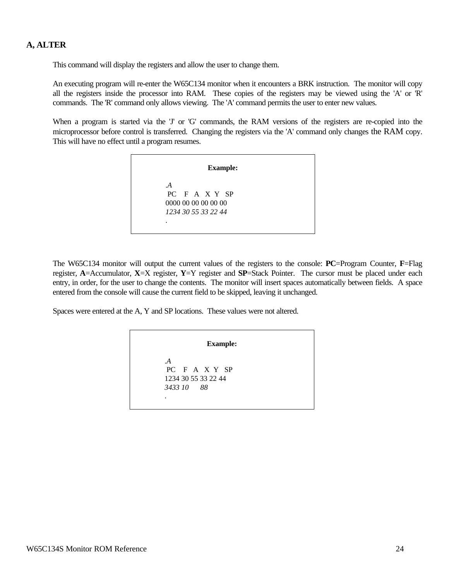# **A, ALTER**

This command will display the registers and allow the user to change them.

An executing program will re-enter the W65C134 monitor when it encounters a BRK instruction. The monitor will copy all the registers inside the processor into RAM. These copies of the registers may be viewed using the 'A' or 'R' commands. The 'R' command only allows viewing. The 'A' command permits the user to enter new values.

When a program is started via the 'J' or 'G' commands, the RAM versions of the registers are re-copied into the microprocessor before control is transferred. Changing the registers via the 'A' command only changes the RAM copy. This will have no effect until a program resumes.

| <b>Example:</b>     |
|---------------------|
| $\mathcal{A}$       |
| PC F A X Y SP       |
| 0000 00 00 00 00 00 |
| 1234 30 55 33 22 44 |
| ٠                   |

The W65C134 monitor will output the current values of the registers to the console: **PC**=Program Counter, **F**=Flag register, **A**=Accumulator, **X**=X register, **Y**=Y register and **SP**=Stack Pointer. The cursor must be placed under each entry, in order, for the user to change the contents. The monitor will insert spaces automatically between fields. A space entered from the console will cause the current field to be skipped, leaving it unchanged.

Spaces were entered at the A, Y and SP locations. These values were not altered.

**Example:**

.*A* PC F A X Y SP 1234 30 55 33 22 44 *3433 10 88* .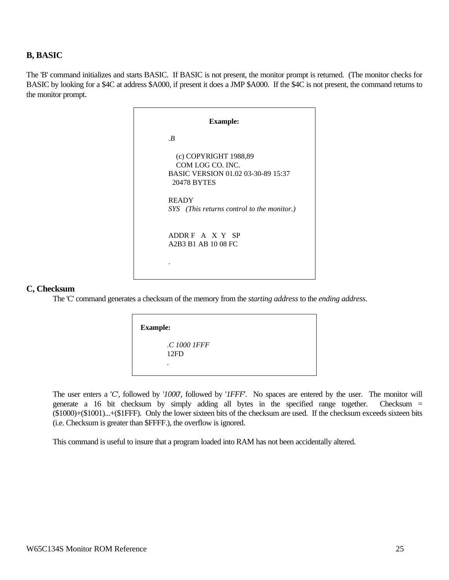# **B, BASIC**

The 'B' command initializes and starts BASIC. If BASIC is not present, the monitor prompt is returned. (The monitor checks for BASIC by looking for a \$4C at address \$A000, if present it does a JMP \$A000. If the \$4C is not present, the command returns to the monitor prompt.

| <b>Example:</b>                                                                                |  |  |  |
|------------------------------------------------------------------------------------------------|--|--|--|
| $\cdot$ B                                                                                      |  |  |  |
| (c) COPYRIGHT 1988,89<br>COM LOG CO. INC.<br>BASIC VERSION 01.02 03-30-89 15:37<br>20478 BYTES |  |  |  |
| <b>READY</b><br>SYS (This returns control to the monitor.)                                     |  |  |  |
| ADDRE A X Y SP<br>A2B3 B1 AB 10 08 FC                                                          |  |  |  |
|                                                                                                |  |  |  |

#### **C, Checksum**

The 'C' command generates a checksum of the memory from the *starting address* to the *ending address*.

| <b>Example:</b>      |  |  |
|----------------------|--|--|
| .C 1000 1FFF<br>12FD |  |  |
| ٠                    |  |  |

The user enters a '*C*', followed by '*1000*', followed by '*1FFF*'. No spaces are entered by the user. The monitor will generate a 16 bit checksum by simply adding all bytes in the specified range together. Checksum = (\$1000)+(\$1001)...+(\$1FFF). Only the lower sixteen bits of the checksum are used. If the checksum exceeds sixteen bits (i.e. Checksum is greater than \$FFFF.), the overflow is ignored.

This command is useful to insure that a program loaded into RAM has not been accidentally altered.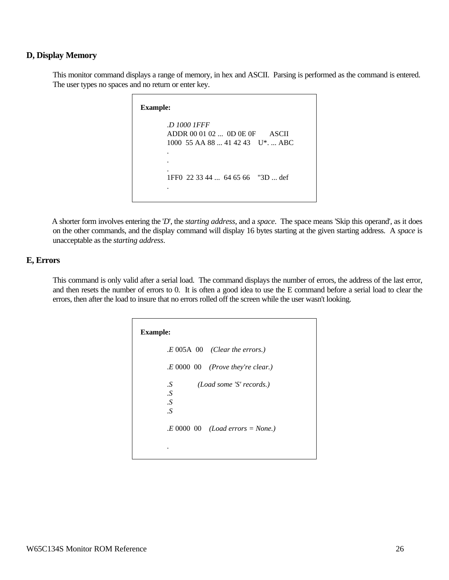## **D, Display Memory**

This monitor command displays a range of memory, in hex and ASCII. Parsing is performed as the command is entered. The user types no spaces and no return or enter key.

```
Example:
 .D 1000 1FFF
ADDR 00 01 02 ... 0D 0E 0F ASCII
 1000 55 AA 88 ... 41 42 43 U*. ... ABC
 .
 .
 .
 1FF0 22 33 44 ... 64 65 66 "3D ... def
 .
```
A shorter form involves entering the '*D*', the *starting address*, and a *space*. The space means 'Skip this operand', as it does on the other commands, and the display command will display 16 bytes starting at the given starting address. A *space* is unacceptable as the *starting address*.

# **E, Errors**

This command is only valid after a serial load. The command displays the number of errors, the address of the last error, and then resets the number of errors to 0. It is often a good idea to use the E command before a serial load to clear the errors, then after the load to insure that no errors rolled off the screen while the user wasn't looking.

| <b>Example:</b> |                                      |
|-----------------|--------------------------------------|
|                 | $E\,005A\,00$ (Clear the errors.)    |
|                 | $E\ 0000\ 00$ (Prove they're clear.) |
| .S<br>$\cdot S$ | (Load some 'S' records.)             |
| .S<br>$\cdot S$ |                                      |
|                 | $E\ 0000\ 00$ (Load errors = None.)  |
|                 |                                      |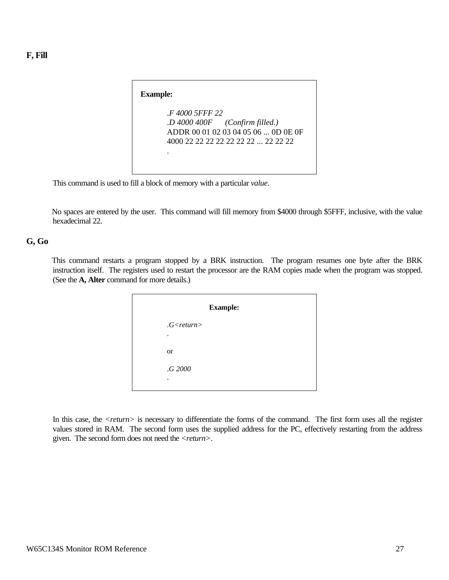| <b>Example:</b> |                                                                                                                |
|-----------------|----------------------------------------------------------------------------------------------------------------|
| F 4000 5FFF 22  | $.D$ 4000 400F (Confirm filled.)<br>ADDR 00 01 02 03 04 05 06  OD 0E 0F<br>4000 22 22 22 22 22 22 22  22 22 22 |

This command is used to fill a block of memory with a particular *value*.

No spaces are entered by the user. This command will fill memory from \$4000 through \$5FFF, inclusive, with the value hexadecimal 22.

#### **G, Go**

This command restarts a program stopped by a BRK instruction. The program resumes one byte after the BRK instruction itself. The registers used to restart the processor are the RAM copies made when the program was stopped. (See the **A, Alter** command for more details.)

| <b>Example:</b>       |  |  |
|-----------------------|--|--|
| $G$ <return></return> |  |  |
| ٠                     |  |  |
| <b>or</b>             |  |  |
| .G 2000               |  |  |
| ٠                     |  |  |

In this case, the *<return>* is necessary to differentiate the forms of the command. The first form uses all the register values stored in RAM. The second form uses the supplied address for the PC, effectively restarting from the address given. The second form does not need the *<return>*.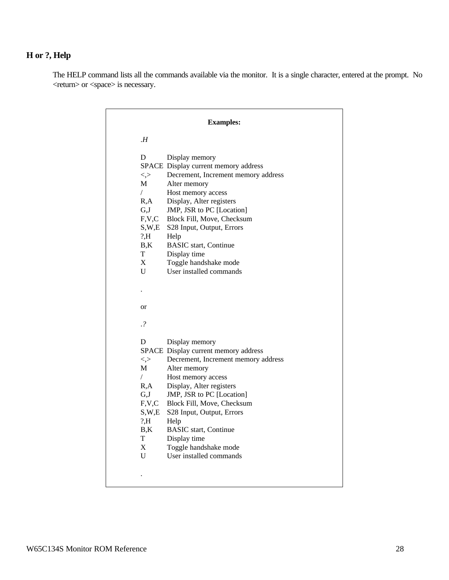# **H or ?, Help**

The HELP command lists all the commands available via the monitor. It is a single character, entered at the prompt. No <return> or <space> is necessary.

|                    | <b>Examples:</b>                               |
|--------------------|------------------------------------------------|
| H                  |                                                |
| D                  | Display memory                                 |
|                    | SPACE Display current memory address           |
| $\lt,$             | Decrement, Increment memory address            |
| M                  | Alter memory                                   |
| $\sqrt{2}$<br>R,A  | Host memory access<br>Display, Alter registers |
| G,J                | JMP, JSR to PC [Location]                      |
| F, V, C            | Block Fill, Move, Checksum                     |
| S,W,E              | S28 Input, Output, Errors                      |
| ? H                | Help                                           |
| B,K                | <b>BASIC</b> start, Continue                   |
| T                  | Display time                                   |
| X                  | Toggle handshake mode                          |
| U                  | User installed commands                        |
|                    |                                                |
|                    |                                                |
| <b>or</b>          |                                                |
| $\cdot$ ?          |                                                |
|                    |                                                |
| D                  | Display memory                                 |
|                    | SPACE Display current memory address           |
| $\lt,$             | Decrement, Increment memory address            |
| М                  | Alter memory                                   |
| $\sqrt{2}$<br>R, A | Host memory access<br>Display, Alter registers |
| G,J                | JMP, JSR to PC [Location]                      |
| F.V.C              | Block Fill, Move, Checksum                     |
| S,W,E              | S28 Input, Output, Errors                      |
| ? H                | Help                                           |
| B,K                | <b>BASIC</b> start, Continue                   |
| T                  | Display time                                   |
| X                  | Toggle handshake mode                          |
| U                  | User installed commands                        |
|                    |                                                |
|                    |                                                |
|                    |                                                |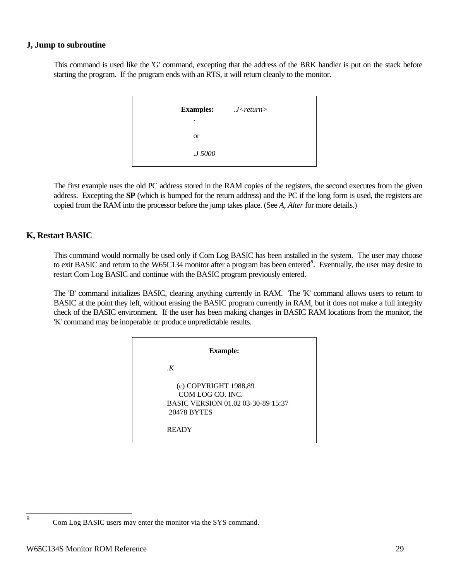# **J, Jump to subroutine**

This command is used like the 'G' command, excepting that the address of the BRK handler is put on the stack before starting the program. If the program ends with an RTS, it will return cleanly to the monitor.

| <b>Examples:</b><br>٠ | $J$ < return > |
|-----------------------|----------------|
| <sub>or</sub>         |                |
| <i>J</i> 5000         |                |

The first example uses the old PC address stored in the RAM copies of the registers, the second executes from the given address. Excepting the **SP** (which is bumped for the return address) and the PC if the long form is used, the registers are copied from the RAM into the processor before the jump takes place. (See *A, Alter* for more details.)

# **K, Restart BASIC**

This command would normally be used only if Com Log BASIC has been installed in the system. The user may choose to exit BASIC and return to the W65C134 monitor after a program has been entered<sup>8</sup>. Eventually, the user may desire to restart Com Log BASIC and continue with the BASIC program previously entered.

The 'B' command initializes BASIC, clearing anything currently in RAM. The 'K' command allows users to return to BASIC at the point they left, without erasing the BASIC program currently in RAM, but it does not make a full integrity check of the BASIC environment. If the user has been making changes in BASIC RAM locations from the monitor, the 'K' command may be inoperable or produce unpredictable results.

| <b>Example:</b>                                                                                |  |
|------------------------------------------------------------------------------------------------|--|
| K                                                                                              |  |
| (c) COPYRIGHT 1988,89<br>COM LOG CO. INC.<br>BASIC VERSION 01.02 03-30-89 15:37<br>20478 BYTES |  |
| <b>READY</b>                                                                                   |  |

8

Com Log BASIC users may enter the monitor via the SYS command.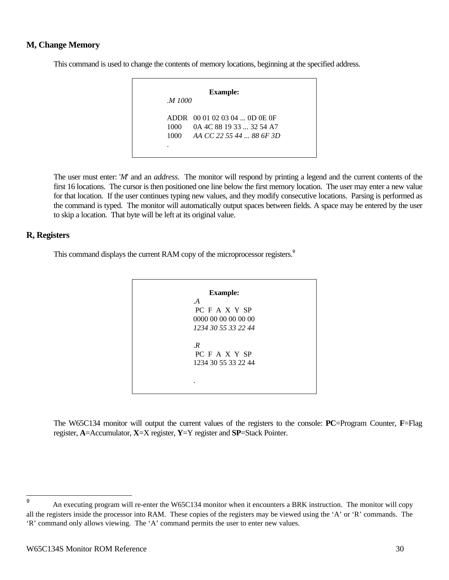# **M, Change Memory**

This command is used to change the contents of memory locations, beginning at the specified address.

| M 1000 |                               |
|--------|-------------------------------|
|        | ADDR 00 01 02 03 04  OD OE OF |
| 1000-  | 0A 4C 88 19 33  32 54 A7      |
| 1000   | AA CC 22 55 44  88 6F 3D      |

The user must enter: '*M*' and an *address*. The monitor will respond by printing a legend and the current contents of the first 16 locations. The cursor is then positioned one line below the first memory location. The user may enter a new value for that location. If the user continues typing new values, and they modify consecutive locations. Parsing is performed as the command is typed. The monitor will automatically output spaces between fields. A space may be entered by the user to skip a location. That byte will be left at its original value.

#### **R, Registers**

This command displays the current RAM copy of the microprocessor registers.<sup>9</sup>

| <b>Example:</b>                                   |
|---------------------------------------------------|
| $\mathcal{A}$                                     |
| PC F A X Y SP                                     |
| 0000 00 00 00 00 00                               |
| 1234 30 55 33 22 44                               |
| $\cdot$ R<br>PC F A X Y SP<br>1234 30 55 33 22 44 |
|                                                   |

The W65C134 monitor will output the current values of the registers to the console: **PC**=Program Counter, **F**=Flag register, **A**=Accumulator, **X**=X register, **Y**=Y register and **SP**=Stack Pointer.

 9 An executing program will re-enter the W65C134 monitor when it encounters a BRK instruction. The monitor will copy all the registers inside the processor into RAM. These copies of the registers may be viewed using the 'A' or 'R' commands. The 'R' command only allows viewing. The 'A' command permits the user to enter new values.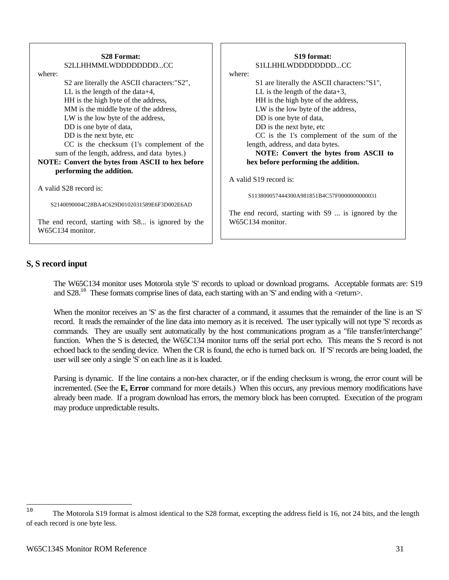| <b>S28 Format:</b><br>S2LLHHMMLWDDDDDDDDCC<br>where:                   | S <sub>19</sub> format:<br>SILLHHLWDDDDDDDDCC<br>where: |  |
|------------------------------------------------------------------------|---------------------------------------------------------|--|
| S2 are literally the ASCII characters: "S2",                           | S1 are literally the ASCII characters:"S1",             |  |
| LL is the length of the data $+4$ ,                                    | LL is the length of the data+3,                         |  |
| HH is the high byte of the address,                                    | HH is the high byte of the address,                     |  |
| MM is the middle byte of the address,                                  | LW is the low byte of the address,                      |  |
| LW is the low byte of the address,                                     | DD is one byte of data,                                 |  |
| DD is one byte of data,                                                | DD is the next byte, etc                                |  |
| DD is the next byte, etc                                               | CC is the 1's complement of the sum of the              |  |
| CC is the checksum (1's complement of the                              | length, address, and data bytes.                        |  |
| sum of the length, address, and data bytes.)                           | NOTE: Convert the bytes from ASCII to                   |  |
| NOTE: Convert the bytes from ASCII to hex before                       | hex before performing the addition.                     |  |
| performing the addition.                                               |                                                         |  |
|                                                                        | A valid S19 record is:                                  |  |
| A valid S28 record is:                                                 |                                                         |  |
|                                                                        | S113800057444300A981851B4C57F0000000000031              |  |
| S2140090004C28BA4C629D0102031589E6F3D002E6AD                           |                                                         |  |
|                                                                        | The end record, starting with S9  is ignored by the     |  |
| The end record, starting with S8 is ignored by the<br>W65C134 monitor. | W65C134 monitor.                                        |  |

# **S, S record input**

The W65C134 monitor uses Motorola style 'S' records to upload or download programs. Acceptable formats are: S19 and  $S28$ <sup>10</sup> These formats comprise lines of data, each starting with an 'S' and ending with a <return>.

When the monitor receives an 'S' as the first character of a command, it assumes that the remainder of the line is an 'S' record. It reads the remainder of the line data into memory as it is received. The user typically will not type 'S' records as commands. They are usually sent automatically by the host communications program as a "file transfer/interchange" function. When the S is detected, the W65C134 monitor turns off the serial port echo. This means the S record is not echoed back to the sending device. When the CR is found, the echo is turned back on. If 'S' records are being loaded, the user will see only a single 'S' on each line as it is loaded.

Parsing is dynamic. If the line contains a non-hex character, or if the ending checksum is wrong, the error count will be incremented. (See the **E, Error** command for more details.) When this occurs, any previous memory modifications have already been made. If a program download has errors, the memory block has been corrupted. Execution of the program may produce unpredictable results.

 $10$ The Motorola S19 format is almost identical to the S28 format, excepting the address field is 16, not 24 bits, and the length of each record is one byte less.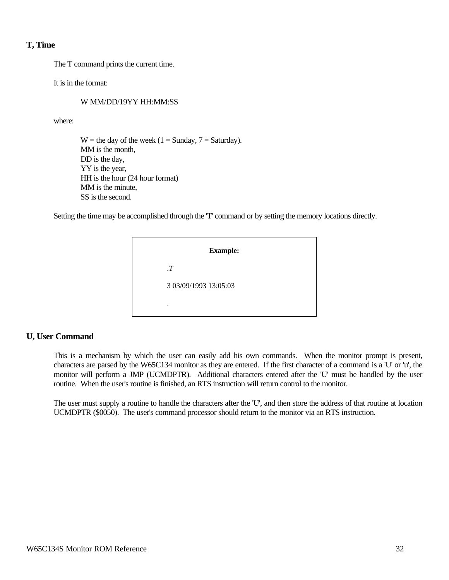# **T, Time**

The T command prints the current time.

It is in the format:

# W MM/DD/19YY HH:MM:SS

where:

 $W =$  the day of the week (1 = Sunday, 7 = Saturday). MM is the month, DD is the day, YY is the year, HH is the hour (24 hour format) MM is the minute, SS is the second.

Setting the time may be accomplished through the 'T' command or by setting the memory locations directly.

| <b>Example:</b>       |
|-----------------------|
| $\cdot T$             |
| 3 03/09/1993 13:05:03 |
| ٠                     |

# **U, User Command**

This is a mechanism by which the user can easily add his own commands. When the monitor prompt is present, characters are parsed by the W65C134 monitor as they are entered. If the first character of a command is a 'U' or 'u', the monitor will perform a JMP (UCMDPTR). Additional characters entered after the 'U' must be handled by the user routine. When the user's routine is finished, an RTS instruction will return control to the monitor.

The user must supply a routine to handle the characters after the 'U', and then store the address of that routine at location UCMDPTR (\$0050). The user's command processor should return to the monitor via an RTS instruction.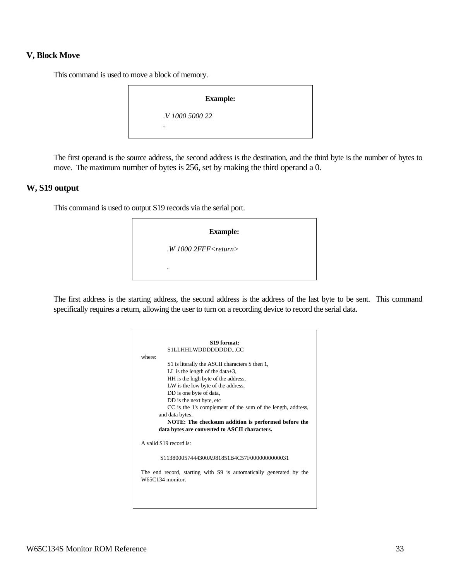## **V, Block Move**

This command is used to move a block of memory.

#### **Example:**

.*V 1000 5000 22*

.

The first operand is the source address, the second address is the destination, and the third byte is the number of bytes to move. The maximum number of bytes is 256, set by making the third operand a 0.

#### **W, S19 output**

This command is used to output S19 records via the serial port.

| <b>Example:</b>               |
|-------------------------------|
| $.W$ 1000 2FFF $<$ return $>$ |
| ٠                             |

The first address is the starting address, the second address is the address of the last byte to be sent. This command specifically requires a return, allowing the user to turn on a recording device to record the serial data.

| S <sub>19</sub> format: |                                                                                        |  |
|-------------------------|----------------------------------------------------------------------------------------|--|
|                         | SILLHHLWDDDDDDDDCC                                                                     |  |
| where:                  |                                                                                        |  |
|                         | S1 is literally the ASCII characters S then 1,                                         |  |
|                         | LL is the length of the data+3,                                                        |  |
|                         | HH is the high byte of the address,                                                    |  |
|                         | LW is the low byte of the address,                                                     |  |
|                         | DD is one byte of data,                                                                |  |
|                         | DD is the next byte, etc.                                                              |  |
|                         | CC is the 1's complement of the sum of the length, address,                            |  |
|                         | and data bytes.                                                                        |  |
|                         | NOTE: The checksum addition is performed before the                                    |  |
|                         | data bytes are converted to ASCII characters.                                          |  |
|                         | A valid S19 record is:                                                                 |  |
|                         | S113800057444300A981851B4C57F0000000000031                                             |  |
|                         | The end record, starting with S9 is automatically generated by the<br>W65C134 monitor. |  |
|                         |                                                                                        |  |
|                         |                                                                                        |  |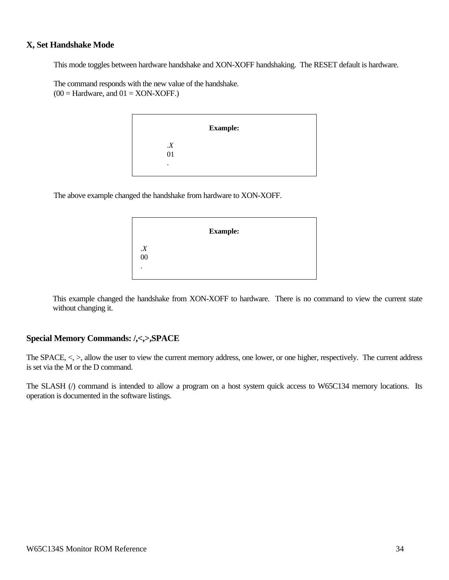# **X, Set Handshake Mode**

This mode toggles between hardware handshake and XON-XOFF handshaking. The RESET default is hardware.

The command responds with the new value of the handshake.  $(00 = \text{Hardware}, \text{ and } 01 = \text{XON-XOFF}.)$ 

|                  | <b>Example:</b> |
|------------------|-----------------|
| $\boldsymbol{X}$ |                 |
| 01               |                 |
| ٠                |                 |
|                  |                 |

The above example changed the handshake from hardware to XON-XOFF.

|                       | <b>Example:</b> |  |
|-----------------------|-----------------|--|
|                       |                 |  |
| $\boldsymbol{X}\\ 00$ |                 |  |
| ٠                     |                 |  |
|                       |                 |  |

This example changed the handshake from XON-XOFF to hardware. There is no command to view the current state without changing it.

# **Special Memory Commands: /,<,>,SPACE**

The SPACE,  $\lt$ ,  $\gt$ , allow the user to view the current memory address, one lower, or one higher, respectively. The current address is set via the M or the D command.

The SLASH (/) command is intended to allow a program on a host system quick access to W65C134 memory locations. Its operation is documented in the software listings.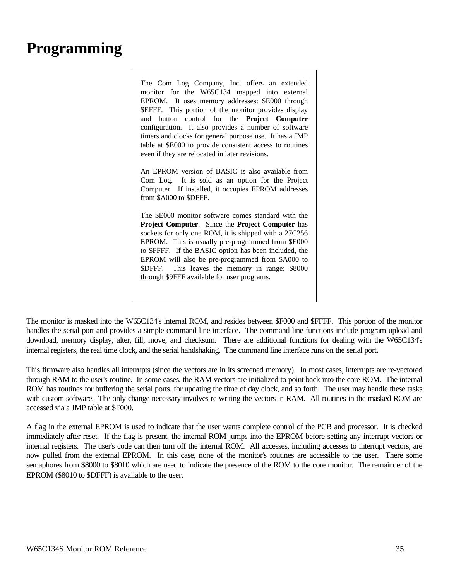# **Programming**

The Com Log Company, Inc. offers an extended monitor for the W65C134 mapped into external EPROM. It uses memory addresses: \$E000 through \$EFFF. This portion of the monitor provides display and button control for the **Project Computer** configuration. It also provides a number of software timers and clocks for general purpose use. It has a JMP table at \$E000 to provide consistent access to routines even if they are relocated in later revisions.

An EPROM version of BASIC is also available from Com Log. It is sold as an option for the Project Computer. If installed, it occupies EPROM addresses from \$A000 to \$DFFF.

The \$E000 monitor software comes standard with the **Project Computer**. Since the **Project Computer** has sockets for only one ROM, it is shipped with a 27C256 EPROM. This is usually pre-programmed from \$E000 to \$FFFF. If the BASIC option has been included, the EPROM will also be pre-programmed from \$A000 to \$DFFF. This leaves the memory in range: \$8000 through \$9FFF available for user programs.

The monitor is masked into the W65C134's internal ROM, and resides between \$F000 and \$FFFF. This portion of the monitor handles the serial port and provides a simple command line interface. The command line functions include program upload and download, memory display, alter, fill, move, and checksum. There are additional functions for dealing with the W65C134's internal registers, the real time clock, and the serial handshaking. The command line interface runs on the serial port.

This firmware also handles all interrupts (since the vectors are in its screened memory). In most cases, interrupts are re-vectored through RAM to the user's routine. In some cases, the RAM vectors are initialized to point back into the core ROM. The internal ROM has routines for buffering the serial ports, for updating the time of day clock, and so forth. The user may handle these tasks with custom software. The only change necessary involves re-writing the vectors in RAM. All routines in the masked ROM are accessed via a JMP table at \$F000.

A flag in the external EPROM is used to indicate that the user wants complete control of the PCB and processor. It is checked immediately after reset. If the flag is present, the internal ROM jumps into the EPROM before setting any interrupt vectors or internal registers. The user's code can then turn off the internal ROM. All accesses, including accesses to interrupt vectors, are now pulled from the external EPROM. In this case, none of the monitor's routines are accessible to the user. There some semaphores from \$8000 to \$8010 which are used to indicate the presence of the ROM to the core monitor. The remainder of the EPROM (\$8010 to \$DFFF) is available to the user.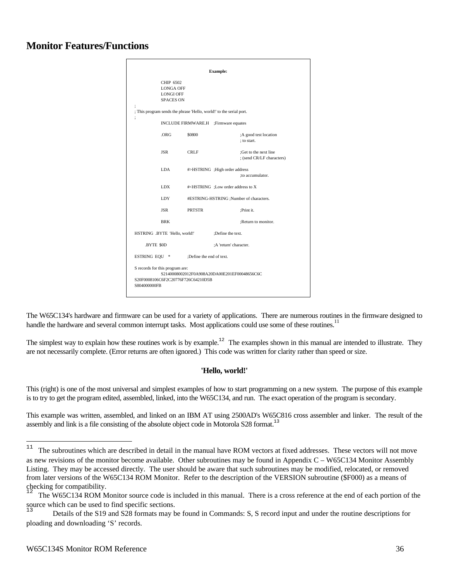# **Monitor Features/Functions**

|                                        |                                                                |                                                                                    | <b>Example:</b>                                                      |                                                    |
|----------------------------------------|----------------------------------------------------------------|------------------------------------------------------------------------------------|----------------------------------------------------------------------|----------------------------------------------------|
|                                        | CHIP 6502<br><b>LONGA OFF</b><br>LONGI OFF<br><b>SPACES ON</b> |                                                                                    |                                                                      |                                                    |
|                                        |                                                                | ; This program sends the phrase 'Hello, world!' to the serial port.                |                                                                      |                                                    |
| $\vdots$                               | INCLUDE FIRMWARE.H ;Firmware equates                           |                                                                                    |                                                                      |                                                    |
|                                        | ORG                                                            | \$0800                                                                             |                                                                      | :A good test location<br>: to start.               |
|                                        | <b>JSR</b>                                                     | <b>CRLF</b>                                                                        |                                                                      | :Get to the next line<br>; (send CR/LF characters) |
|                                        | LDA -                                                          |                                                                                    | #>HSTRING ; High order address                                       | ;to accumulator.                                   |
|                                        | <b>LDX</b>                                                     |                                                                                    | # <hstring: address="" low="" order="" th="" to="" x<=""></hstring:> |                                                    |
|                                        | <b>LDY</b>                                                     | #ESTRING-HSTRING ;Number of characters.                                            |                                                                      |                                                    |
|                                        | JSR                                                            | <b>PRTSTR</b>                                                                      |                                                                      | :Print it.                                         |
|                                        | <b>BRK</b>                                                     |                                                                                    |                                                                      | :Return to monitor.                                |
| HSTRING .BYTE 'Hello, world!'          |                                                                |                                                                                    | :Define the text.                                                    |                                                    |
| BYTE \$0D                              |                                                                |                                                                                    | :A 'return' character.                                               |                                                    |
| ESTRING EQU * :Define the end of text. |                                                                |                                                                                    |                                                                      |                                                    |
| S804000000FB                           | S records for this program are:                                | S2140008002012F0A908A20DA00E201EF00048656C6C<br>S20F0008106C6F2C20776F726C64210D5B |                                                                      |                                                    |

The W65C134's hardware and firmware can be used for a variety of applications. There are numerous routines in the firmware designed to handle the hardware and several common interrupt tasks. Most applications could use some of these routines.<sup>11</sup>

The simplest way to explain how these routines work is by example.<sup>12</sup> The examples shown in this manual are intended to illustrate. They are not necessarily complete. (Error returns are often ignored.) This code was written for clarity rather than speed or size.

#### **'Hello, world!'**

This (right) is one of the most universal and simplest examples of how to start programming on a new system. The purpose of this example is to try to get the program edited, assembled, linked, into the W65C134, and run. The exact operation of the program is secondary.

This example was written, assembled, and linked on an IBM AT using 2500AD's W65C816 cross assembler and linker. The result of the assembly and link is a file consisting of the absolute object code in Motorola  $S28$  format.<sup>13</sup>

 $11\,$ The subroutines which are described in detail in the manual have ROM vectors at fixed addresses. These vectors will not move as new revisions of the monitor become available. Other subroutines may be found in Appendix C – W65C134 Monitor Assembly Listing. They may be accessed directly. The user should be aware that such subroutines may be modified, relocated, or removed from later versions of the W65C134 ROM Monitor. Refer to the description of the VERSION subroutine (\$F000) as a means of checking for compatibility.

The W65C134 ROM Monitor source code is included in this manual. There is a cross reference at the end of each portion of the source which can be used to find specific sections.

<sup>13</sup> Details of the S19 and S28 formats may be found in Commands: S, S record input and under the routine descriptions for ploading and downloading 'S' records.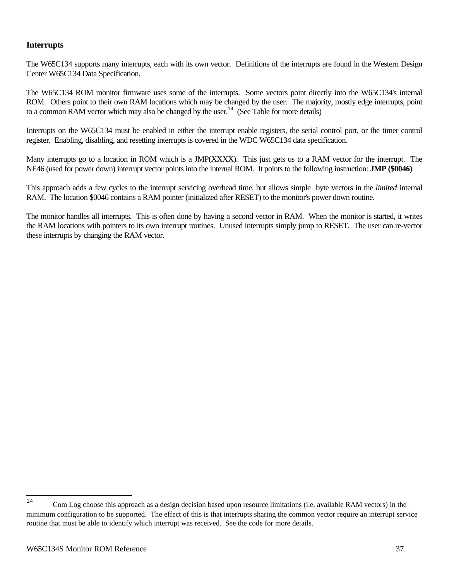## **Interrupts**

The W65C134 supports many interrupts, each with its own vector. Definitions of the interrupts are found in the Western Design Center W65C134 Data Specification.

The W65C134 ROM monitor firmware uses some of the interrupts. Some vectors point directly into the W65C134's internal ROM. Others point to their own RAM locations which may be changed by the user. The majority, mostly edge interrupts, point to a common RAM vector which may also be changed by the user.<sup>14</sup> (See Table for more details)

Interrupts on the W65C134 must be enabled in either the interrupt enable registers, the serial control port, or the timer control register. Enabling, disabling, and resetting interrupts is covered in the WDC W65C134 data specification.

Many interrupts go to a location in ROM which is a JMP(XXXX). This just gets us to a RAM vector for the interrupt. The NE46 (used for power down) interrupt vector points into the internal ROM. It points to the following instruction: **JMP (\$0046)**

This approach adds a few cycles to the interrupt servicing overhead time, but allows simple byte vectors in the *limited* internal RAM. The location \$0046 contains a RAM pointer (initialized after RESET) to the monitor's power down routine.

The monitor handles all interrupts. This is often done by having a second vector in RAM. When the monitor is started, it writes the RAM locations with pointers to its own interrupt routines. Unused interrupts simply jump to RESET. The user can re-vector these interrupts by changing the RAM vector.

<sup>14</sup> Com Log choose this approach as a design decision based upon resource limitations (i.e. available RAM vectors) in the minimum configuration to be supported. The effect of this is that interrupts sharing the common vector require an interrupt service routine that must be able to identify which interrupt was received. See the code for more details.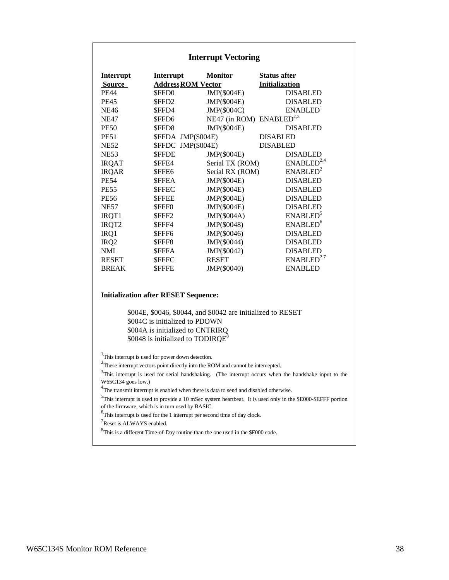#### **Interrupt Vectoring**

| Interrupt<br><b>Source</b> | Interrupt<br><b>Address ROM Vector</b> | <b>Monitor</b>                       | <b>Status after</b><br><b>Initialization</b> |
|----------------------------|----------------------------------------|--------------------------------------|----------------------------------------------|
| <b>PE44</b>                | \$FFD0                                 | JMP(\$004E)                          | <b>DISABLED</b>                              |
| <b>PE45</b>                | \$FFD2                                 | JMP(\$004E)                          | <b>DISABLED</b>                              |
| <b>NE46</b>                | \$FFD4                                 | JMP(\$004C)                          | ENABLED <sup>1</sup>                         |
| <b>NE47</b>                | \$FFD6                                 | NE47 (in ROM) ENABLED <sup>2,3</sup> |                                              |
| <b>PE50</b>                | \$FFD8                                 | JMP(\$004E)                          | <b>DISABLED</b>                              |
| <b>PE51</b>                | \$FFDA JMP(\$004E)                     |                                      | <b>DISABLED</b>                              |
| <b>NE52</b>                | JMP(\$004E)<br><b>SFFDC</b>            |                                      | <b>DISABLED</b>                              |
| <b>NE53</b>                | <b>SFFDE</b>                           | JMP(\$004E)                          | <b>DISABLED</b>                              |
| <b>IRQAT</b>               | \$FFE4                                 | Serial TX (ROM)                      | ENABLED <sup>2,4</sup>                       |
| <b>IRQAR</b>               | \$FFE6                                 | Serial RX (ROM)                      | ENABLED <sup>2</sup>                         |
| <b>PE54</b>                | <b>SFFEA</b>                           | JMP(\$004E)                          | <b>DISABLED</b>                              |
| <b>PE55</b>                | <b>SFFEC</b>                           | JMP(\$004E)                          | <b>DISABLED</b>                              |
| <b>PE56</b>                | <b>SFFEE</b>                           | JMP(\$004E)                          | <b>DISABLED</b>                              |
| <b>NE57</b>                | \$FFF0                                 | JMP(\$004E)                          | <b>DISABLED</b>                              |
| IRQT1                      | \$FFF2                                 | JMP(\$004A)                          | <b>ENABLED</b> <sup>5</sup>                  |
| IRQT2                      | \$FFF4                                 | JMP(\$0048)                          | ENABLED <sup>6</sup>                         |
| IRQ1                       | \$FFF6                                 | JMP(\$0046)                          | <b>DISABLED</b>                              |
| IRQ <sub>2</sub>           | \$FFF8                                 | JMP(\$0044)                          | <b>DISABLED</b>                              |
| <b>NMI</b>                 | <b>SFFFA</b>                           | JMP(\$0042)                          | <b>DISABLED</b>                              |
| <b>RESET</b>               | <b>SFFFC</b>                           | <b>RESET</b>                         | ENABLED <sup>2,7</sup>                       |
| <b>BREAK</b>               | <b>SFFFE</b>                           | JMP(\$0040)                          | <b>ENABLED</b>                               |

#### **Initialization after RESET Sequence:**

\$004E, \$0046, \$0044, and \$0042 are initialized to RESET \$004C is initialized to PDOWN \$004A is initialized to CNTRIRQ  $$0048$  is initialized to TODIRQE<sup>8</sup>

<sup>1</sup>This interrupt is used for power down detection.

 $2$ These interrupt vectors point directly into the ROM and cannot be intercepted.

 $3$ This interrupt is used for serial handshaking. (The interrupt occurs when the handshake input to the W65C134 goes low.)

 $^{4}$ The transmit interrupt is enabled when there is data to send and disabled otherwise.

<sup>5</sup>This interrupt is used to provide a 10 mSec system heartbeat. It is used only in the \$E000-\$EFFF portion of the firmware, which is in turn used by BASIC.

 ${}^{6}$ This interrupt is used for the 1 interrupt per second time of day clock.

<sup>7</sup>Reset is ALWAYS enabled.

 ${}^{8}$ This is a different Time-of-Day routine than the one used in the \$F000 code.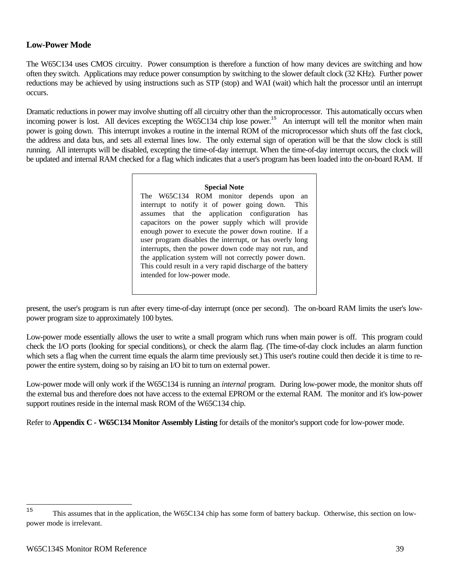## **Low-Power Mode**

The W65C134 uses CMOS circuitry. Power consumption is therefore a function of how many devices are switching and how often they switch. Applications may reduce power consumption by switching to the slower default clock (32 KHz). Further power reductions may be achieved by using instructions such as STP (stop) and WAI (wait) which halt the processor until an interrupt occurs.

Dramatic reductions in power may involve shutting off all circuitry other than the microprocessor. This automatically occurs when incoming power is lost. All devices excepting the W65C134 chip lose power.<sup>15</sup> An interrupt will tell the monitor when main power is going down. This interrupt invokes a routine in the internal ROM of the microprocessor which shuts off the fast clock, the address and data bus, and sets all external lines low. The only external sign of operation will be that the slow clock is still running. All interrupts will be disabled, excepting the time-of-day interrupt. When the time-of-day interrupt occurs, the clock will be updated and internal RAM checked for a flag which indicates that a user's program has been loaded into the on-board RAM. If

#### **Special Note**

The W65C134 ROM monitor depends upon an interrupt to notify it of power going down. This assumes that the application configuration has capacitors on the power supply which will provide enough power to execute the power down routine. If a user program disables the interrupt, or has overly long interrupts, then the power down code may not run, and the application system will not correctly power down. This could result in a very rapid discharge of the battery intended for low-power mode.

present, the user's program is run after every time-of-day interrupt (once per second). The on-board RAM limits the user's lowpower program size to approximately 100 bytes.

Low-power mode essentially allows the user to write a small program which runs when main power is off. This program could check the I/O ports (looking for special conditions), or check the alarm flag. (The time-of-day clock includes an alarm function which sets a flag when the current time equals the alarm time previously set.) This user's routine could then decide it is time to repower the entire system, doing so by raising an I/O bit to turn on external power.

Low-power mode will only work if the W65C134 is running an *internal* program. During low-power mode, the monitor shuts off the external bus and therefore does not have access to the external EPROM or the external RAM. The monitor and it's low-power support routines reside in the internal mask ROM of the W65C134 chip.

Refer to **Appendix C - W65C134 Monitor Assembly Listing** for details of the monitor's support code for low-power mode.

 $15\,$ <sup>15</sup> This assumes that in the application, the W65C134 chip has some form of battery backup. Otherwise, this section on lowpower mode is irrelevant.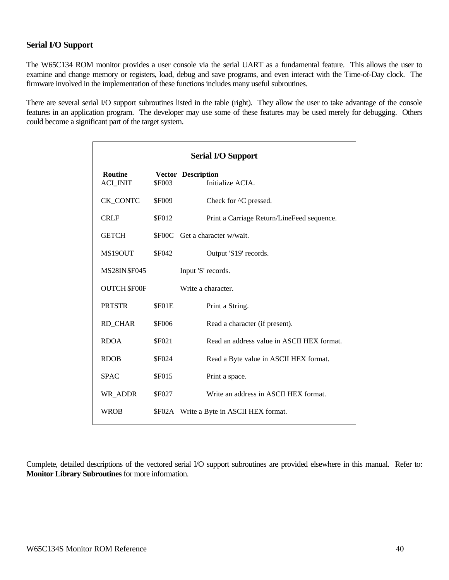## **Serial I/O Support**

The W65C134 ROM monitor provides a user console via the serial UART as a fundamental feature. This allows the user to examine and change memory or registers, load, debug and save programs, and even interact with the Time-of-Day clock. The firmware involved in the implementation of these functions includes many useful subroutines.

There are several serial I/O support subroutines listed in the table (right). They allow the user to take advantage of the console features in an application program. The developer may use some of these features may be used merely for debugging. Others could become a significant part of the target system.

| <b>Serial I/O Support</b> |               |                                            |
|---------------------------|---------------|--------------------------------------------|
| Routine                   |               | <b>Vector Description</b>                  |
| <b>ACI INIT</b>           | <b>SF003</b>  | Initialize ACIA.                           |
| <b>CK_CONTC</b>           | <b>\$F009</b> | Check for $\triangle$ C pressed.           |
| <b>CRLF</b>               | \$F012        | Print a Carriage Return/LineFeed sequence. |
| <b>GETCH</b>              |               | \$F00C Get a character w/wait.             |
| MS19OUT                   | \$F042        | Output 'S19' records.                      |
| MS28IN\$F045              |               | Input 'S' records.                         |
| <b>OUTCH \$F00F</b>       |               | Write a character.                         |
| <b>PRTSTR</b>             | \$F01E        | Print a String.                            |
| <b>RD_CHAR</b>            | <b>\$F006</b> | Read a character (if present).             |
| <b>RDOA</b>               | \$F021        | Read an address value in ASCII HEX format. |
| <b>RDOB</b>               | <b>\$F024</b> | Read a Byte value in ASCII HEX format.     |
| <b>SPAC</b>               | <b>\$F015</b> | Print a space.                             |
| WR_ADDR                   | <b>\$F027</b> | Write an address in ASCII HEX format.      |
| <b>WROB</b>               |               | \$F02A Write a Byte in ASCII HEX format.   |

Complete, detailed descriptions of the vectored serial I/O support subroutines are provided elsewhere in this manual. Refer to: **Monitor Library Subroutines** for more information.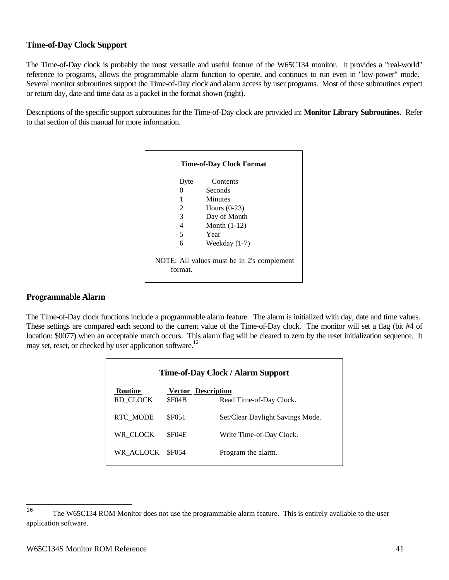## **Time-of-Day Clock Support**

The Time-of-Day clock is probably the most versatile and useful feature of the W65C134 monitor. It provides a "real-world" reference to programs, allows the programmable alarm function to operate, and continues to run even in "low-power" mode. Several monitor subroutines support the Time-of-Day clock and alarm access by user programs. Most of these subroutines expect or return day, date and time data as a packet in the format shown (right).

Descriptions of the specific support subroutines for the Time-of-Day clock are provided in: **Monitor Library Subroutines**. Refer to that section of this manual for more information.

| Byte                                                  | Contents        |  |
|-------------------------------------------------------|-----------------|--|
|                                                       | Seconds         |  |
| 1                                                     | Minutes         |  |
| 2                                                     | Hours $(0-23)$  |  |
| 3                                                     | Day of Month    |  |
| 4                                                     | Month $(1-12)$  |  |
| 5                                                     | Year            |  |
| 6                                                     | Weekday $(1-7)$ |  |
| NOTE: All values must be in 2's complement<br>format. |                 |  |

## **Programmable Alarm**

The Time-of-Day clock functions include a programmable alarm feature. The alarm is initialized with day, date and time values. These settings are compared each second to the current value of the Time-of-Day clock. The monitor will set a flag (bit #4 of location: \$0077) when an acceptable match occurs. This alarm flag will be cleared to zero by the reset initialization sequence. It may set, reset, or checked by user application software.<sup>16</sup>

| Time-of-Day Clock / Alarm Support |                           |                                  |  |
|-----------------------------------|---------------------------|----------------------------------|--|
| <b>Routine</b>                    | <b>Vector Description</b> |                                  |  |
| RD CLOCK                          | \$F04B                    | Read Time-of-Day Clock.          |  |
| <b>RTC MODE</b>                   | <b>SF051</b>              | Set/Clear Daylight Savings Mode. |  |
| WR CLOCK                          | SF04E                     | Write Time-of-Day Clock.         |  |
| WR ACLOCK                         | <b>SF054</b>              | Program the alarm.               |  |

<sup>16</sup> <sup>16</sup> The W65C134 ROM Monitor does not use the programmable alarm feature. This is entirely available to the user application software.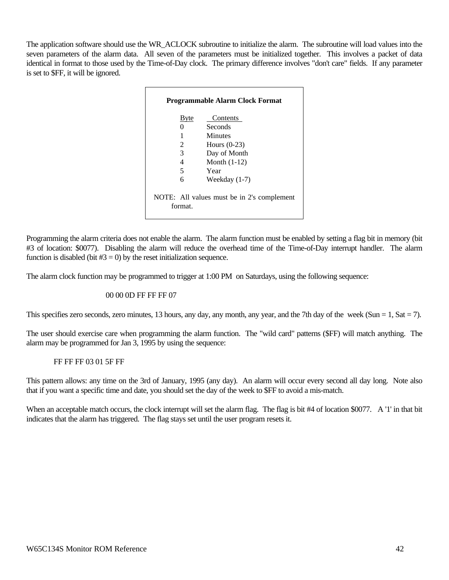The application software should use the WR\_ACLOCK subroutine to initialize the alarm. The subroutine will load values into the seven parameters of the alarm data. All seven of the parameters must be initialized together. This involves a packet of data identical in format to those used by the Time-of-Day clock. The primary difference involves "don't care" fields. If any parameter is set to \$FF, it will be ignored.

| <b>Programmable Alarm Clock Format</b>                |      |                 |
|-------------------------------------------------------|------|-----------------|
|                                                       | Byte | Contents        |
|                                                       | 0    | Seconds         |
|                                                       | 1    | Minutes         |
|                                                       | 2    | Hours $(0-23)$  |
|                                                       | 3    | Day of Month    |
|                                                       | 4    | Month $(1-12)$  |
|                                                       | 5    | Year            |
|                                                       | 6    | Weekday $(1-7)$ |
| NOTE: All values must be in 2's complement<br>format. |      |                 |

Programming the alarm criteria does not enable the alarm. The alarm function must be enabled by setting a flag bit in memory (bit #3 of location: \$0077). Disabling the alarm will reduce the overhead time of the Time-of-Day interrupt handler. The alarm function is disabled (bit  $#3 = 0$ ) by the reset initialization sequence.

The alarm clock function may be programmed to trigger at 1:00 PM on Saturdays, using the following sequence:

#### 00 00 0D FF FF FF 07

This specifies zero seconds, zero minutes, 13 hours, any day, any month, any year, and the 7th day of the week (Sun = 1, Sat = 7).

The user should exercise care when programming the alarm function. The "wild card" patterns (\$FF) will match anything. The alarm may be programmed for Jan 3, 1995 by using the sequence:

#### FF FF FF 03 01 5F FF

This pattern allows: any time on the 3rd of January, 1995 (any day). An alarm will occur every second all day long. Note also that if you want a specific time and date, you should set the day of the week to \$FF to avoid a mis-match.

When an acceptable match occurs, the clock interrupt will set the alarm flag. The flag is bit #4 of location \$0077. A '1' in that bit indicates that the alarm has triggered. The flag stays set until the user program resets it.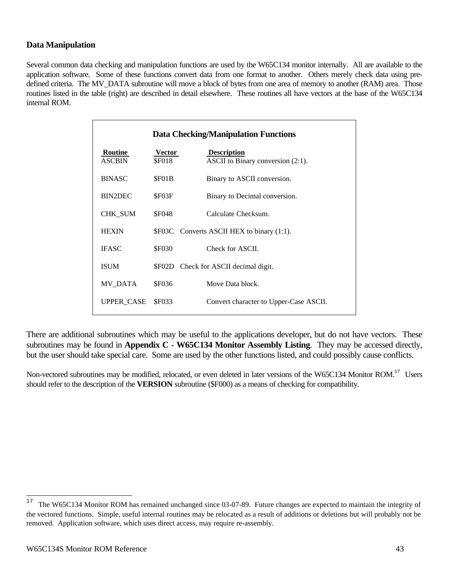## **Data Manipulation**

Several common data checking and manipulation functions are used by the W65C134 monitor internally. All are available to the application software. Some of these functions convert data from one format to another. Others merely check data using predefined criteria. The MV\_DATA subroutine will move a block of bytes from one area of memory to another (RAM) area. Those routines listed in the table (right) are described in detail elsewhere. These routines all have vectors at the base of the W65C134 internal ROM.

| <b>Data Checking/Manipulation Functions</b> |                               |                                                            |
|---------------------------------------------|-------------------------------|------------------------------------------------------------|
| Routine<br><b>ASCBIN</b>                    | <b>Vector</b><br><b>SF018</b> | <b>Description</b><br>ASCII to Binary conversion $(2:1)$ . |
| <b>BINASC</b>                               | SF01B                         | Binary to ASCII conversion.                                |
| BIN2DEC                                     | \$F03F                        | Binary to Decimal conversion.                              |
| CHK_SUM                                     | <b>SF048</b>                  | Calculate Checksum.                                        |
| <b>HEXIN</b>                                |                               | \$F03C Converts ASCII HEX to binary (1:1).                 |
| <b>IFASC</b>                                | <b>\$F030</b>                 | Check for ASCII.                                           |
| <b>ISUM</b>                                 |                               | \$F02D Check for ASCII decimal digit.                      |
| MV DATA                                     | <b>SF036</b>                  | Move Data block.                                           |
| <b>UPPER CASE</b>                           | <b>SF033</b>                  | Convert character to Upper-Case ASCII.                     |

There are additional subroutines which may be useful to the applications developer, but do not have vectors. These subroutines may be found in **Appendix C - W65C134 Monitor Assembly Listing**. They may be accessed directly, but the user should take special care. Some are used by the other functions listed, and could possibly cause conflicts.

Non-vectored subroutines may be modified, relocated, or even deleted in later versions of the W65C134 Monitor ROM.<sup>17</sup> Users should refer to the description of the **VERSION** subroutine (\$F000) as a means of checking for compatibility.

 $17$ The W65C134 Monitor ROM has remained unchanged since 03-07-89. Future changes are expected to maintain the integrity of the vectored functions. Simple, useful internal routines may be relocated as a result of additions or deletions but will probably not be removed. Application software, which uses direct access, may require re-assembly.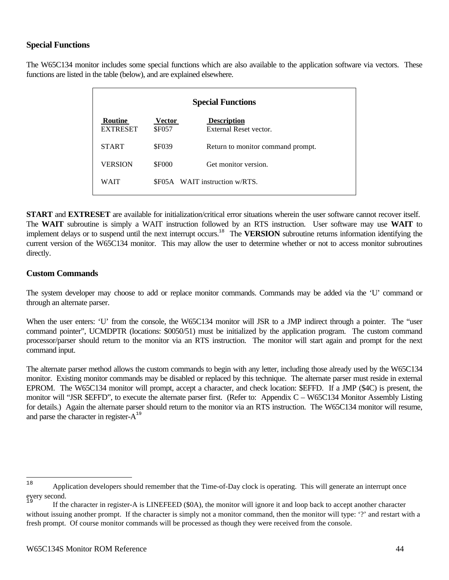## **Special Functions**

The W65C134 monitor includes some special functions which are also available to the application software via vectors. These functions are listed in the table (below), and are explained elsewhere.

| <b>Special Functions</b>          |                               |                                              |  |
|-----------------------------------|-------------------------------|----------------------------------------------|--|
| <b>Routine</b><br><b>EXTRESET</b> | <b>Vector</b><br><b>SF057</b> | <b>Description</b><br>External Reset vector. |  |
| <b>START</b>                      | <b>SF039</b>                  | Return to monitor command prompt.            |  |
| <b>VERSION</b>                    | <b>\$F000</b>                 | Get monitor version.                         |  |
| WAIT                              |                               | SF05A WAIT instruction w/RTS.                |  |

**START** and **EXTRESET** are available for initialization/critical error situations wherein the user software cannot recover itself. The **WAIT** subroutine is simply a WAIT instruction followed by an RTS instruction. User software may use **WAIT** to implement delays or to suspend until the next interrupt occurs.<sup>18</sup> The **VERSION** subroutine returns information identifying the current version of the W65C134 monitor. This may allow the user to determine whether or not to access monitor subroutines directly.

## **Custom Commands**

The system developer may choose to add or replace monitor commands. Commands may be added via the 'U' command or through an alternate parser.

When the user enters: 'U' from the console, the W65C134 monitor will JSR to a JMP indirect through a pointer. The "user command pointer", UCMDPTR (locations: \$0050/51) must be initialized by the application program. The custom command processor/parser should return to the monitor via an RTS instruction. The monitor will start again and prompt for the next command input.

The alternate parser method allows the custom commands to begin with any letter, including those already used by the W65C134 monitor. Existing monitor commands may be disabled or replaced by this technique. The alternate parser must reside in external EPROM. The W65C134 monitor will prompt, accept a character, and check location: \$EFFD. If a JMP (\$4C) is present, the monitor will "JSR \$EFFD", to execute the alternate parser first. (Refer to: Appendix C – W65C134 Monitor Assembly Listing for details.) Again the alternate parser should return to the monitor via an RTS instruction. The W65C134 monitor will resume, and parse the character in register- $A^{19}$ 

 $18$ Application developers should remember that the Time-of-Day clock is operating. This will generate an interrupt once every second.

<sup>19</sup> If the character in register-A is LINEFEED (\$0A), the monitor will ignore it and loop back to accept another character without issuing another prompt. If the character is simply not a monitor command, then the monitor will type: '?' and restart with a fresh prompt. Of course monitor commands will be processed as though they were received from the console.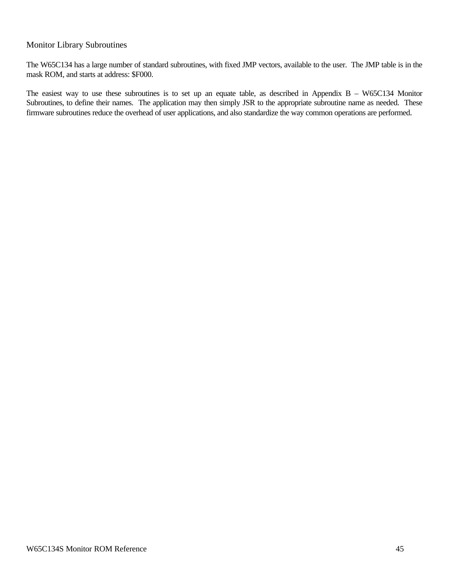### Monitor Library Subroutines

The W65C134 has a large number of standard subroutines, with fixed JMP vectors, available to the user. The JMP table is in the mask ROM, and starts at address: \$F000.

The easiest way to use these subroutines is to set up an equate table, as described in Appendix B – W65C134 Monitor Subroutines, to define their names. The application may then simply JSR to the appropriate subroutine name as needed. These firmware subroutines reduce the overhead of user applications, and also standardize the way common operations are performed.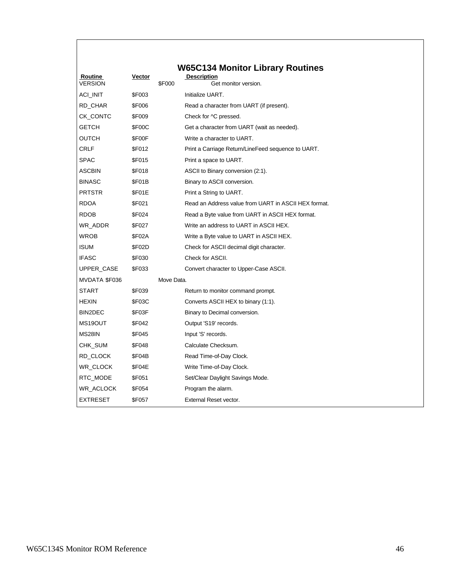| Routine<br><b>VERSION</b> | Vector        |               | <b>W65C134 Monitor Library Routines</b><br><b>Description</b><br>Get monitor version. |
|---------------------------|---------------|---------------|---------------------------------------------------------------------------------------|
| ACI_INIT                  | \$F003        | <b>\$F000</b> | Initialize UART.                                                                      |
|                           | \$F006        |               |                                                                                       |
| RD_CHAR<br>CK CONTC       | \$F009        |               | Read a character from UART (if present).                                              |
|                           |               |               | Check for ^C pressed.                                                                 |
| <b>GETCH</b>              | \$F00C        |               | Get a character from UART (wait as needed).                                           |
| OUTCH                     | \$F00F        |               | Write a character to UART.                                                            |
| <b>CRLF</b>               | <b>\$F012</b> |               | Print a Carriage Return/LineFeed sequence to UART.                                    |
| <b>SPAC</b>               | <b>\$F015</b> |               | Print a space to UART.                                                                |
| <b>ASCBIN</b>             | <b>\$F018</b> |               | ASCII to Binary conversion (2:1).                                                     |
| <b>BINASC</b>             | \$F01B        |               | Binary to ASCII conversion.                                                           |
| <b>PRTSTR</b>             | \$F01E        |               | Print a String to UART.                                                               |
| <b>RDOA</b>               | <b>\$F021</b> |               | Read an Address value from UART in ASCII HEX format.                                  |
| <b>RDOB</b>               | <b>\$F024</b> |               | Read a Byte value from UART in ASCII HEX format.                                      |
| WR_ADDR                   | \$F027        |               | Write an address to UART in ASCII HEX.                                                |
| <b>WROB</b>               | <b>\$F02A</b> |               | Write a Byte value to UART in ASCII HEX.                                              |
| <b>ISUM</b>               | <b>\$F02D</b> |               | Check for ASCII decimal digit character.                                              |
| <b>IFASC</b>              | \$F030        |               | Check for ASCII.                                                                      |
| UPPER_CASE                | \$F033        |               | Convert character to Upper-Case ASCII.                                                |
| MVDATA \$F036             |               | Move Data.    |                                                                                       |
| <b>START</b>              | <b>\$F039</b> |               | Return to monitor command prompt.                                                     |
| <b>HEXIN</b>              | \$F03C        |               | Converts ASCII HEX to binary (1:1).                                                   |
| BIN2DEC                   | \$F03F        |               | Binary to Decimal conversion.                                                         |
| MS19OUT                   | \$F042        |               | Output 'S19' records.                                                                 |
| MS28IN                    | <b>\$F045</b> |               | Input 'S' records.                                                                    |
| CHK_SUM                   | <b>\$F048</b> |               | Calculate Checksum.                                                                   |
| RD_CLOCK                  | \$F04B        |               | Read Time-of-Day Clock.                                                               |
| WR_CLOCK                  | \$F04E        |               | Write Time-of-Day Clock.                                                              |
| RTC_MODE                  | <b>\$F051</b> |               | Set/Clear Daylight Savings Mode.                                                      |
| WR_ACLOCK                 | \$F054        |               | Program the alarm.                                                                    |
| <b>EXTRESET</b>           | <b>\$F057</b> |               | External Reset vector.                                                                |
|                           |               |               |                                                                                       |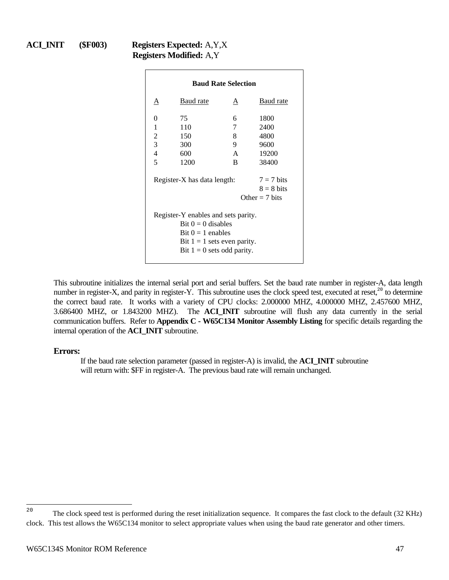## **ACI\_INIT (\$F003) Registers Expected:** A,Y,X **Registers Modified:** A,Y

| <b>Baud Rate Selection</b>                                                                                                                          |                                                                                 |              |           |  |  |
|-----------------------------------------------------------------------------------------------------------------------------------------------------|---------------------------------------------------------------------------------|--------------|-----------|--|--|
| Α                                                                                                                                                   | Baud rate                                                                       | A            | Baud rate |  |  |
| 0                                                                                                                                                   | 75                                                                              | 6            | 1800      |  |  |
| 1                                                                                                                                                   | 110                                                                             | 7            | 2400      |  |  |
| 2                                                                                                                                                   | 150                                                                             | 8            | 4800      |  |  |
| 3                                                                                                                                                   | 300                                                                             | 9            | 9600      |  |  |
| $\overline{4}$                                                                                                                                      | 600                                                                             | $\mathsf{A}$ | 19200     |  |  |
| 5                                                                                                                                                   | 1200                                                                            | R.           | 38400     |  |  |
|                                                                                                                                                     | $7 = 7$ bits<br>Register-X has data length:<br>$8 = 8$ bits<br>Other $= 7$ bits |              |           |  |  |
| Register-Y enables and sets parity.<br>Bit $0 = 0$ disables<br>Bit $0 = 1$ enables<br>Bit $1 = 1$ sets even parity.<br>Bit $1 = 0$ sets odd parity. |                                                                                 |              |           |  |  |

This subroutine initializes the internal serial port and serial buffers. Set the baud rate number in register-A, data length number in register-X, and parity in register-Y. This subroutine uses the clock speed test, executed at reset, $20$  to determine the correct baud rate. It works with a variety of CPU clocks: 2.000000 MHZ, 4.000000 MHZ, 2.457600 MHZ, 3.686400 MHZ, or 1.843200 MHZ). The **ACI\_INIT** subroutine will flush any data currently in the serial communication buffers. Refer to **Appendix C - W65C134 Monitor Assembly Listing** for specific details regarding the internal operation of the **ACI\_INIT** subroutine.

#### **Errors:**

If the baud rate selection parameter (passed in register-A) is invalid, the **ACI\_INIT** subroutine will return with: \$FF in register-A. The previous baud rate will remain unchanged.

 $20$ <sup>20</sup> The clock speed test is performed during the reset initialization sequence. It compares the fast clock to the default (32 KHz) clock. This test allows the W65C134 monitor to select appropriate values when using the baud rate generator and other timers.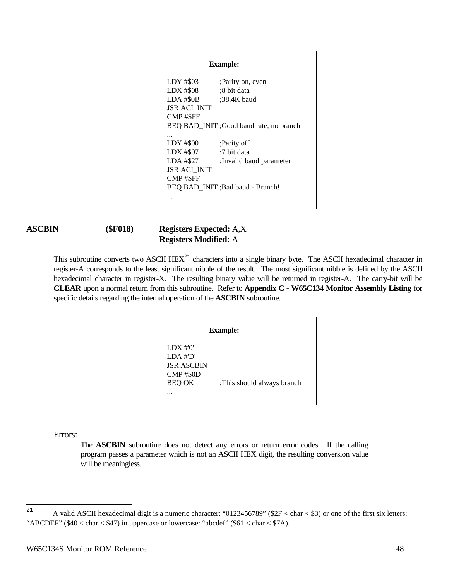| <b>Example:</b>         |                                         |  |  |  |
|-------------------------|-----------------------------------------|--|--|--|
| LDY #\$03               | ;Parity on, even                        |  |  |  |
| LDX #\$08               | :8 bit data                             |  |  |  |
| LDA # $$0B$ :38.4K baud |                                         |  |  |  |
| <b>JSR ACI INIT</b>     |                                         |  |  |  |
| CMP#\$FF                |                                         |  |  |  |
|                         | BEQ BAD_INIT ;Good baud rate, no branch |  |  |  |
|                         |                                         |  |  |  |
| LDY #\$00               | ;Parity off                             |  |  |  |
| $LDX$ #\$07             | :7 bit data                             |  |  |  |
| LDA #\$27               | Invalid baud parameter                  |  |  |  |
| <b>JSR ACI INIT</b>     |                                         |  |  |  |
| <b>CMP#SFF</b>          |                                         |  |  |  |
|                         | BEO BAD INIT ; Bad baud - Branch!       |  |  |  |
|                         |                                         |  |  |  |
|                         |                                         |  |  |  |

## **ASCBIN (\$F018) Registers Expected:** A,X **Registers Modified:** A

This subroutine converts two ASCII HEX<sup>21</sup> characters into a single binary byte. The ASCII hexadecimal character in register-A corresponds to the least significant nibble of the result. The most significant nibble is defined by the ASCII hexadecimal character in register-X. The resulting binary value will be returned in register-A. The carry-bit will be **CLEAR** upon a normal return from this subroutine. Refer to **Appendix C - W65C134 Monitor Assembly Listing** for specific details regarding the internal operation of the **ASCBIN** subroutine.

| <b>Example:</b>                |                           |  |  |
|--------------------------------|---------------------------|--|--|
| LDX #'0'<br>$LDA$ # $D'$       |                           |  |  |
| <b>JSR ASCBIN</b><br>CMP #\$0D |                           |  |  |
| <b>BEQ OK</b>                  | This should always branch |  |  |
|                                |                           |  |  |

Errors:

The **ASCBIN** subroutine does not detect any errors or return error codes. If the calling program passes a parameter which is not an ASCII HEX digit, the resulting conversion value will be meaningless.

 $2\sqrt{1}$ A valid ASCII hexadecimal digit is a numeric character: "0123456789" ( $$2F <$  char < \$3) or one of the first six letters: "ABCDEF" (\$40 < char < \$47) in uppercase or lowercase: "abcdef" (\$61 < char < \$7A).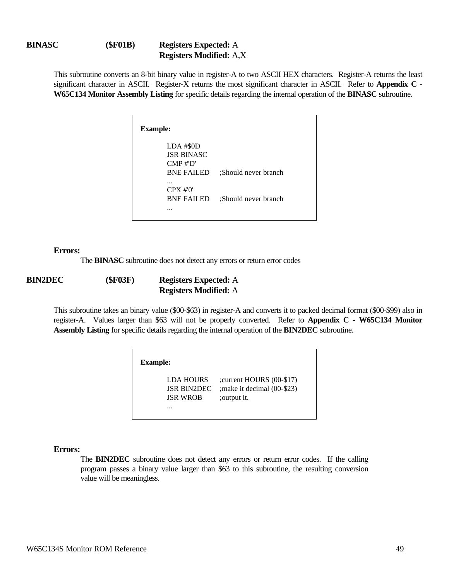This subroutine converts an 8-bit binary value in register-A to two ASCII HEX characters. Register-A returns the least significant character in ASCII. Register-X returns the most significant character in ASCII. Refer to **Appendix C - W65C134 Monitor Assembly Listing** for specific details regarding the internal operation of the **BINASC** subroutine.

| <b>Example:</b>                                                                    |                      |
|------------------------------------------------------------------------------------|----------------------|
| $LDA$ #\$0D<br><b>JSR BINASC</b><br>$\text{CMP} \# \text{D'}$<br><b>BNE FAILED</b> | :Should never branch |
| <br>$CPX \#'0'$<br><b>BNE FAILED</b><br>.                                          | :Should never branch |

#### **Errors:**

The **BINASC** subroutine does not detect any errors or return error codes

| <b>BIN2DEC</b> | (SF03F) | <b>Registers Expected:</b> A |
|----------------|---------|------------------------------|
|                |         | <b>Registers Modified:</b> A |

This subroutine takes an binary value (\$00-\$63) in register-A and converts it to packed decimal format (\$00-\$99) also in register-A. Values larger than \$63 will not be properly converted. Refer to **Appendix C - W65C134 Monitor Assembly Listing** for specific details regarding the internal operation of the **BIN2DEC** subroutine.

| <b>Example:</b>                                        |                                                                          |
|--------------------------------------------------------|--------------------------------------------------------------------------|
| LDA HOURS<br><b>JSR BIN2DEC</b><br><b>JSR WROB</b><br> | ; current HOURS (00-\$17)<br>; make it decimal (00-\$23)<br>; output it. |

#### **Errors:**

The **BIN2DEC** subroutine does not detect any errors or return error codes. If the calling program passes a binary value larger than \$63 to this subroutine, the resulting conversion value will be meaningless.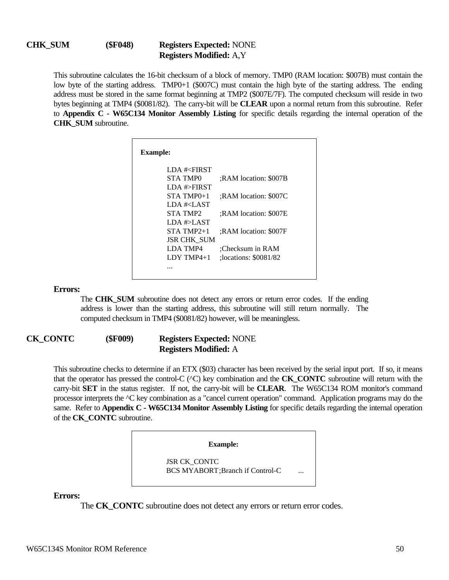## **CHK\_SUM (\$F048) Registers Expected:** NONE **Registers Modified:** A,Y

This subroutine calculates the 16-bit checksum of a block of memory. TMP0 (RAM location: \$007B) must contain the low byte of the starting address. TMP0+1 (\$007C) must contain the high byte of the starting address. The ending address must be stored in the same format beginning at TMP2 (\$007E/7F). The computed checksum will reside in two bytes beginning at TMP4 (\$0081/82). The carry-bit will be **CLEAR** upon a normal return from this subroutine. Refer to **Appendix C - W65C134 Monitor Assembly Listing** for specific details regarding the internal operation of the **CHK\_SUM** subroutine.

| <b>Example:</b>                        |                       |
|----------------------------------------|-----------------------|
| LDA # <first< th=""><th></th></first<> |                       |
| STA TMPO                               | :RAM location: \$007B |
| LDA #>FIRST                            |                       |
| $STA TMP0+1$                           | :RAM location: \$007C |
| LDA # <last< th=""><th></th></last<>   |                       |
| STA TMP2                               | :RAM location: \$007E |
| LDA #>LAST                             |                       |
| STA TMP2+1                             | :RAM location: \$007F |
| <b>JSR CHK SUM</b>                     |                       |
| LDA TMP4                               | :Checksum in RAM      |
| $LDY$ TMP4+1                           | :locations: \$0081/82 |
|                                        |                       |

#### **Errors:**

The **CHK** SUM subroutine does not detect any errors or return error codes. If the ending address is lower than the starting address, this subroutine will still return normally. The computed checksum in TMP4 (\$0081/82) however, will be meaningless.

## **CK\_CONTC (\$F009) Registers Expected:** NONE **Registers Modified:** A

This subroutine checks to determine if an ETX (\$03) character has been received by the serial input port. If so, it means that the operator has pressed the control-C (^C) key combination and the **CK\_CONTC** subroutine will return with the carry-bit **SET** in the status register. If not, the carry-bit will be **CLEAR**. The W65C134 ROM monitor's command processor interprets the ^C key combination as a "cancel current operation" command. Application programs may do the same. Refer to **Appendix C - W65C134 Monitor Assembly Listing** for specific details regarding the internal operation of the **CK\_CONTC** subroutine.

**Example:**

JSR CK\_CONTC BCS MYABORT; Branch if Control-C

**Errors:**

The **CK\_CONTC** subroutine does not detect any errors or return error codes.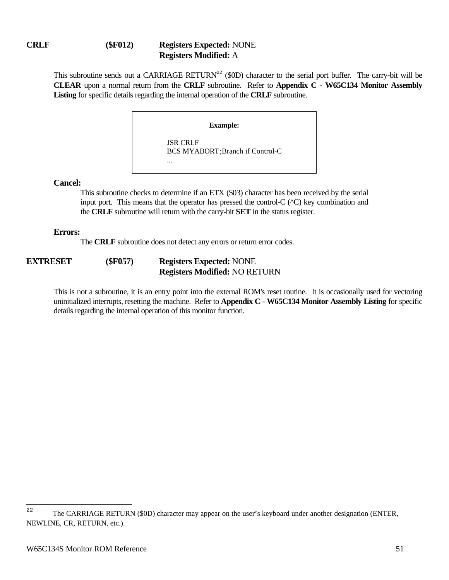## **CRLF (\$F012) Registers Expected:** NONE **Registers Modified:** A

This subroutine sends out a CARRIAGE RETURN<sup>22</sup> (\$0D) character to the serial port buffer. The carry-bit will be **CLEAR** upon a normal return from the **CRLF** subroutine. Refer to **Appendix C - W65C134 Monitor Assembly Listing** for specific details regarding the internal operation of the **CRLF** subroutine.

**Example:**

JSR CRLF BCS MYABORT;Branch if Control-C ...

### **Cancel:**

This subroutine checks to determine if an ETX (\$03) character has been received by the serial input port. This means that the operator has pressed the control-C  $(^\wedge$ C) key combination and the **CRLF** subroutine will return with the carry-bit **SET** in the status register.

### **Errors:**

The **CRLF** subroutine does not detect any errors or return error codes.

## **EXTRESET (\$F057) Registers Expected:** NONE **Registers Modified:** NO RETURN

This is not a subroutine, it is an entry point into the external ROM's reset routine. It is occasionally used for vectoring uninitialized interrupts, resetting the machine. Refer to **Appendix C - W65C134 Monitor Assembly Listing** for specific details regarding the internal operation of this monitor function.

<sup>22</sup> The CARRIAGE RETURN (\$0D) character may appear on the user's keyboard under another designation (ENTER, NEWLINE, CR, RETURN, etc.).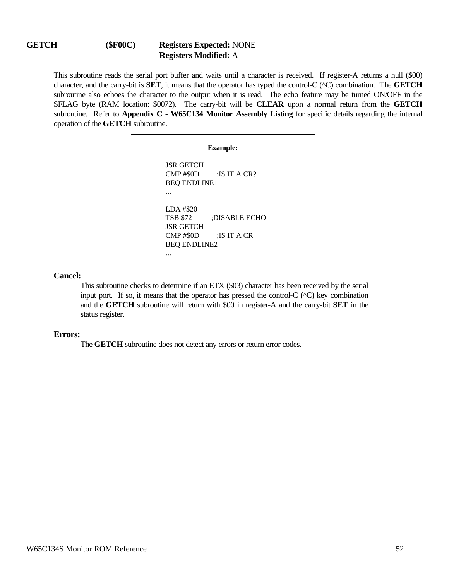### **GETCH (\$F00C) Registers Expected:** NONE **Registers Modified:** A

This subroutine reads the serial port buffer and waits until a character is received. If register-A returns a null (\$00) character, and the carry-bit is **SET**, it means that the operator has typed the control-C (^C) combination. The **GETCH** subroutine also echoes the character to the output when it is read. The echo feature may be turned ON/OFF in the SFLAG byte (RAM location: \$0072). The carry-bit will be **CLEAR** upon a normal return from the **GETCH** subroutine. Refer to **Appendix C - W65C134 Monitor Assembly Listing** for specific details regarding the internal operation of the **GETCH** subroutine.

| <b>Example:</b>                         |                                 |  |
|-----------------------------------------|---------------------------------|--|
| <b>ISR GETCH</b><br><b>BEO ENDLINE1</b> | $CMP \#30D$ : IS IT A CR?       |  |
| .                                       |                                 |  |
| LDA #\$20                               |                                 |  |
|                                         | TSB \$72 :DISABLE ECHO          |  |
| <b>ISR GETCH</b>                        | $\text{CMP}$ #\$0D : IS IT A CR |  |
| <b>BEQ ENDLINE2</b>                     |                                 |  |
|                                         |                                 |  |

**Cancel:**

This subroutine checks to determine if an ETX (\$03) character has been received by the serial input port. If so, it means that the operator has pressed the control- $C$  ( $\sim C$ ) key combination and the **GETCH** subroutine will return with \$00 in register-A and the carry-bit **SET** in the status register.

#### **Errors:**

The **GETCH** subroutine does not detect any errors or return error codes.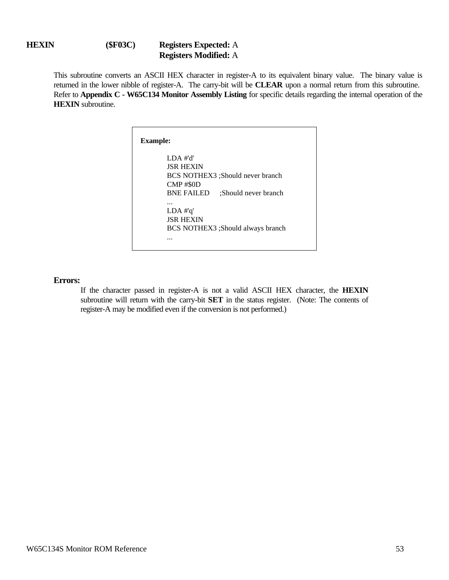## **HEXIN (\$F03C) Registers Expected:** A **Registers Modified:** A

This subroutine converts an ASCII HEX character in register-A to its equivalent binary value. The binary value is returned in the lower nibble of register-A. The carry-bit will be **CLEAR** upon a normal return from this subroutine. Refer to **Appendix C - W65C134 Monitor Assembly Listing** for specific details regarding the internal operation of the **HEXIN** subroutine.

| <b>Example:</b>                          |  |
|------------------------------------------|--|
| $LDA$ #'d'                               |  |
| <b>ISR HEXIN</b>                         |  |
| BCS NOTHEX3: Should never branch         |  |
| CMP#\$0D                                 |  |
| <b>BNE FAILED</b><br>Should never branch |  |
|                                          |  |
| $LDA$ #'q'                               |  |
| <b>ISR HEXIN</b>                         |  |
| BCS NOTHEX3 ;Should always branch        |  |
|                                          |  |
|                                          |  |

#### **Errors:**

If the character passed in register-A is not a valid ASCII HEX character, the **HEXIN** subroutine will return with the carry-bit **SET** in the status register. (Note: The contents of register-A may be modified even if the conversion is not performed.)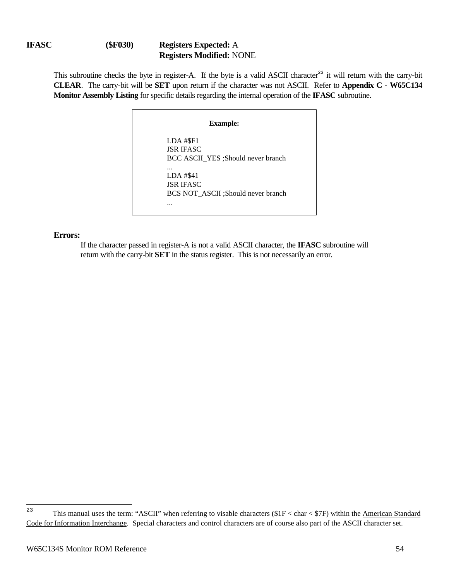## **IFASC (\$F030) Registers Expected:** A **Registers Modified:** NONE

This subroutine checks the byte in register-A. If the byte is a valid ASCII character<sup>23</sup> it will return with the carry-bit **CLEAR**. The carry-bit will be **SET** upon return if the character was not ASCII. Refer to **Appendix C - W65C134 Monitor Assembly Listing** for specific details regarding the internal operation of the **IFASC** subroutine.

## **Example:** LDA #\$F1 JSR IFASC BCC ASCII\_YES ;Should never branch ... LDA #\$41 JSR IFASC BCS NOT\_ASCII ;Should never branch ...

### **Errors:**

If the character passed in register-A is not a valid ASCII character, the **IFASC** subroutine will return with the carry-bit **SET** in the status register. This is not necessarily an error.

<sup>23</sup> This manual uses the term: "ASCII" when referring to visable characters  $($1F < char < $7F$)$  within the American Standard Code for Information Interchange. Special characters and control characters are of course also part of the ASCII character set.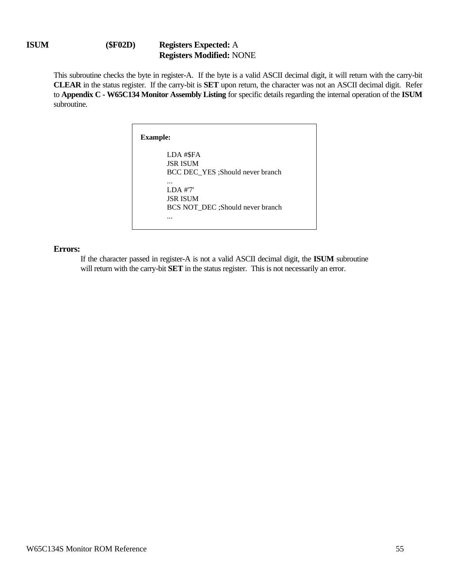## **ISUM (\$F02D) Registers Expected:** A **Registers Modified:** NONE

This subroutine checks the byte in register-A. If the byte is a valid ASCII decimal digit, it will return with the carry-bit **CLEAR** in the status register. If the carry-bit is **SET** upon return, the character was not an ASCII decimal digit. Refer to **Appendix C - W65C134 Monitor Assembly Listing** for specific details regarding the internal operation of the **ISUM** subroutine.

| <b>Example:</b>                  |
|----------------------------------|
| LDA #\$FA                        |
| <b>JSR ISUM</b>                  |
| BCC DEC YES :Should never branch |
| $\cdots$                         |
| LDA #'7'                         |
| <b>ISR ISUM</b>                  |
| BCS NOT DEC :Should never branch |
| .                                |
|                                  |

#### **Errors:**

If the character passed in register-A is not a valid ASCII decimal digit, the **ISUM** subroutine will return with the carry-bit **SET** in the status register. This is not necessarily an error.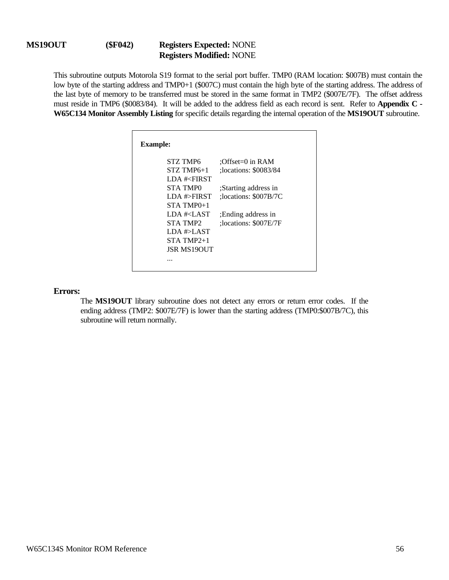### **MS19OUT (\$F042) Registers Expected:** NONE **Registers Modified:** NONE

This subroutine outputs Motorola S19 format to the serial port buffer. TMP0 (RAM location: \$007B) must contain the low byte of the starting address and TMP0+1 (\$007C) must contain the high byte of the starting address. The address of the last byte of memory to be transferred must be stored in the same format in TMP2 (\$007E/7F). The offset address must reside in TMP6 (\$0083/84). It will be added to the address field as each record is sent. Refer to **Appendix C - W65C134 Monitor Assembly Listing** for specific details regarding the internal operation of the **MS19OUT** subroutine.

| <b>Example:</b>                                         |                         |
|---------------------------------------------------------|-------------------------|
| STZ TMP6                                                | :Offset= $0$ in RAM     |
| $STZ$ TMP6+1                                            | :locations: \$0083/84   |
| LDA # <first< th=""><th></th></first<>                  |                         |
| STA TMP0                                                | Starting address in     |
| LDA #>FIRST                                             | : locations: $$007B/7C$ |
| $STA$ TMP $0+1$                                         |                         |
| LDA # <last< th=""><th>: Ending address in</th></last<> | : Ending address in     |
| STA TMP2                                                | :locations: \$007E/7F   |
| LDA #>LAST                                              |                         |
| $STA$ TMP $2+1$                                         |                         |
| <b>ISR MS19OUT</b>                                      |                         |
|                                                         |                         |

#### **Errors:**

The **MS19OUT** library subroutine does not detect any errors or return error codes. If the ending address (TMP2: \$007E/7F) is lower than the starting address (TMP0:\$007B/7C), this subroutine will return normally.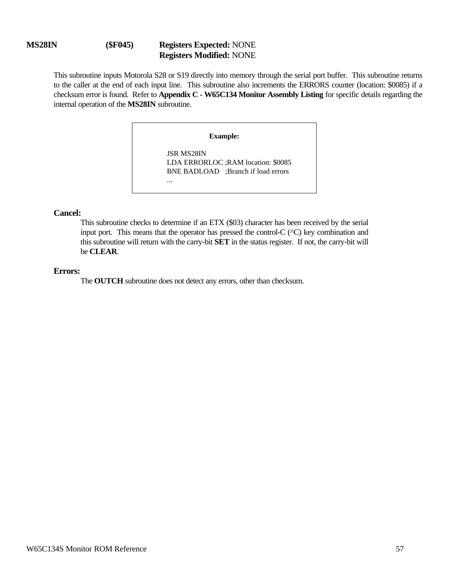### **MS28IN (\$F045) Registers Expected:** NONE **Registers Modified:** NONE

This subroutine inputs Motorola S28 or S19 directly into memory through the serial port buffer. This subroutine returns to the caller at the end of each input line. This subroutine also increments the ERRORS counter (location: \$0085) if a checksum error is found. Refer to **Appendix C - W65C134 Monitor Assembly Listing** for specific details regarding the internal operation of the **MS28IN** subroutine.

**Example:**

JSR MS28IN LDA ERRORLOC ;RAM location: \$0085 BNE BADLOAD ;Branch if load errors ...

#### **Cancel:**

This subroutine checks to determine if an ETX (\$03) character has been received by the serial input port. This means that the operator has pressed the control-C (^C) key combination and this subroutine will return with the carry-bit **SET** in the status register. If not, the carry-bit will be **CLEAR**.

#### **Errors:**

The **OUTCH** subroutine does not detect any errors, other than checksum.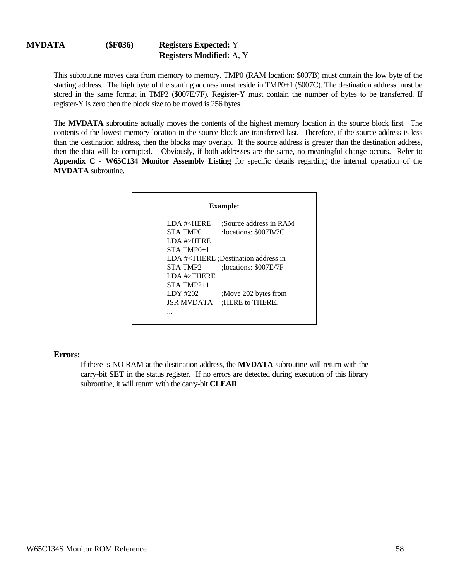This subroutine moves data from memory to memory. TMP0 (RAM location: \$007B) must contain the low byte of the starting address. The high byte of the starting address must reside in TMP0+1 (\$007C). The destination address must be stored in the same format in TMP2 (\$007E/7F). Register-Y must contain the number of bytes to be transferred. If register-Y is zero then the block size to be moved is 256 bytes.

The **MVDATA** subroutine actually moves the contents of the highest memory location in the source block first. The contents of the lowest memory location in the source block are transferred last. Therefore, if the source address is less than the destination address, then the blocks may overlap. If the source address is greater than the destination address, then the data will be corrupted. Obviously, if both addresses are the same, no meaningful change occurs. Refer to **Appendix C - W65C134 Monitor Assembly Listing** for specific details regarding the internal operation of the **MVDATA** subroutine.

| <b>Example:</b>                  |                                                                   |  |
|----------------------------------|-------------------------------------------------------------------|--|
| <b>LDA #<here< b=""></here<></b> | :Source address in RAM                                            |  |
| STA TMPO                         | : locations: $$007B/7C$                                           |  |
| LDA #>HERE                       |                                                                   |  |
| $STA$ TMP $0+1$                  |                                                                   |  |
|                                  | LDA # <there :="" address="" destination="" in<="" td=""></there> |  |
| STA TMP2                         | :locations: \$007E/7F                                             |  |
| LDA # $\gt$ THERE                |                                                                   |  |
| $STA$ TMP2 $+1$                  |                                                                   |  |
| LDY $\#202$                      | ;Move 202 bytes from                                              |  |
| <b>ISR MVDATA</b>                | :HERE to THERE.                                                   |  |
|                                  |                                                                   |  |

#### **Errors:**

If there is NO RAM at the destination address, the **MVDATA** subroutine will return with the carry-bit **SET** in the status register. If no errors are detected during execution of this library subroutine, it will return with the carry-bit **CLEAR**.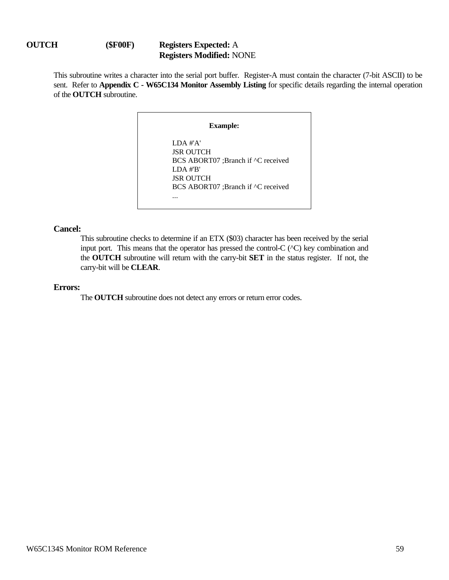## **OUTCH (\$F00F) Registers Expected:** A **Registers Modified:** NONE

This subroutine writes a character into the serial port buffer. Register-A must contain the character (7-bit ASCII) to be sent. Refer to **Appendix C - W65C134 Monitor Assembly Listing** for specific details regarding the internal operation of the **OUTCH** subroutine.

**Example:**

LDA #'A' JSR OUTCH BCS ABORT07 ;Branch if ^C received LDA #'B' JSR OUTCH BCS ABORT07 ;Branch if ^C received ...

### **Cancel:**

This subroutine checks to determine if an ETX (\$03) character has been received by the serial input port. This means that the operator has pressed the control-C (^C) key combination and the **OUTCH** subroutine will return with the carry-bit **SET** in the status register. If not, the carry-bit will be **CLEAR**.

### **Errors:**

The **OUTCH** subroutine does not detect any errors or return error codes.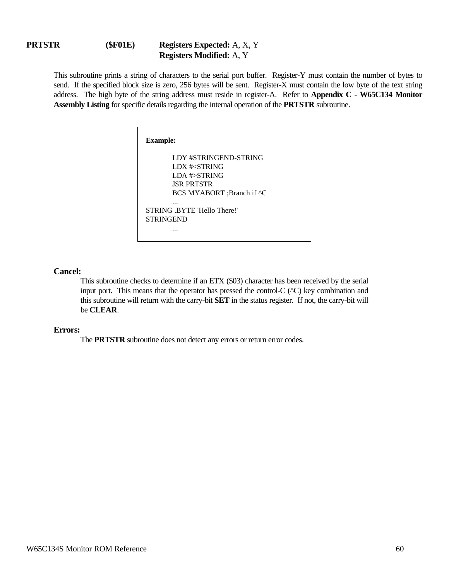### **PRTSTR (\$F01E) Registers Expected:** A, X, Y **Registers Modified:** A, Y

This subroutine prints a string of characters to the serial port buffer. Register-Y must contain the number of bytes to send. If the specified block size is zero, 256 bytes will be sent. Register-X must contain the low byte of the text string address. The high byte of the string address must reside in register-A. Refer to **Appendix C - W65C134 Monitor Assembly Listing** for specific details regarding the internal operation of the **PRTSTR** subroutine.

| <b>Example:</b>                          |  |
|------------------------------------------|--|
| LDY #STRINGEND-STRING                    |  |
| LDX # <string< td=""><td></td></string<> |  |
| LDA $#>STRING$                           |  |
| <b>ISR PRTSTR</b>                        |  |
| BCS MYABORT ;Branch if ^C                |  |
|                                          |  |
| STRING BYTE 'Hello There!'               |  |
| <b>STRINGEND</b>                         |  |
|                                          |  |

#### **Cancel:**

This subroutine checks to determine if an ETX (\$03) character has been received by the serial input port. This means that the operator has pressed the control-C (^C) key combination and this subroutine will return with the carry-bit **SET** in the status register. If not, the carry-bit will be **CLEAR**.

#### **Errors:**

The **PRTSTR** subroutine does not detect any errors or return error codes.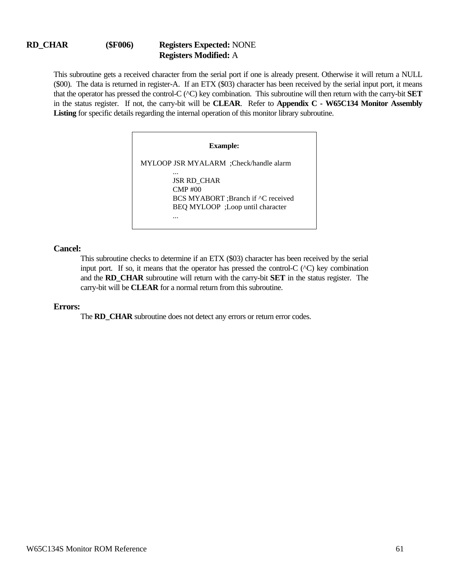### **RD\_CHAR (\$F006) Registers Expected:** NONE **Registers Modified:** A

This subroutine gets a received character from the serial port if one is already present. Otherwise it will return a NULL (\$00). The data is returned in register-A. If an ETX (\$03) character has been received by the serial input port, it means that the operator has pressed the control-C (^C) key combination. This subroutine will then return with the carry-bit **SET** in the status register. If not, the carry-bit will be **CLEAR**. Refer to **Appendix C - W65C134 Monitor Assembly Listing** for specific details regarding the internal operation of this monitor library subroutine.

#### **Example:**

MYLOOP JSR MYALARM ;Check/handle alarm ... JSR RD\_CHAR CMP #00 BCS MYABORT ;Branch if ^C received BEQ MYLOOP ;Loop until character ...

#### **Cancel:**

This subroutine checks to determine if an ETX (\$03) character has been received by the serial input port. If so, it means that the operator has pressed the control-C  $(\triangle C)$  key combination and the **RD\_CHAR** subroutine will return with the carry-bit **SET** in the status register. The carry-bit will be **CLEAR** for a normal return from this subroutine.

#### **Errors:**

The **RD** CHAR subroutine does not detect any errors or return error codes.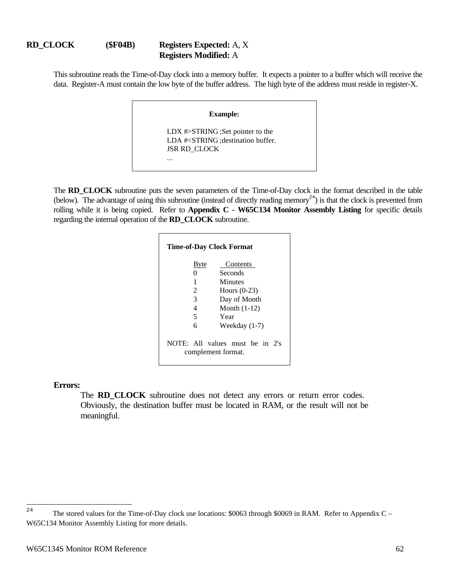## **RD\_CLOCK (\$F04B) Registers Expected:** A, X **Registers Modified:** A

This subroutine reads the Time-of-Day clock into a memory buffer. It expects a pointer to a buffer which will receive the data. Register-A must contain the low byte of the buffer address. The high byte of the address must reside in register-X.

# **Example:** LDX #>STRING ;Set pointer to the LDA #<STRING ;destination buffer. JSR RD\_CLOCK ...

The **RD\_CLOCK** subroutine puts the seven parameters of the Time-of-Day clock in the format described in the table (below). The advantage of using this subroutine (instead of directly reading memory<sup>24</sup>) is that the clock is prevented from rolling while it is being copied. Refer to **Appendix C - W65C134 Monitor Assembly Listing** for specific details regarding the internal operation of the **RD\_CLOCK** subroutine.

| <b>Time-of-Day Clock Format</b> |                                                       |  |
|---------------------------------|-------------------------------------------------------|--|
| <b>B</b> yte                    | Contents                                              |  |
| 0                               | Seconds                                               |  |
| 1                               | Minutes                                               |  |
| 2                               | Hours $(0-23)$                                        |  |
| 3                               | Day of Month                                          |  |
| 4                               | Month $(1-12)$                                        |  |
| 5                               | Year                                                  |  |
| 6                               | Weekday (1-7)                                         |  |
|                                 | NOTE: All values must be in 2's<br>complement format. |  |

#### **Errors:**

The **RD CLOCK** subroutine does not detect any errors or return error codes. Obviously, the destination buffer must be located in RAM, or the result will not be meaningful.

<sup>24</sup> The stored values for the Time-of-Day clock use locations:  $$0063$  through \$0069 in RAM. Refer to Appendix C – W65C134 Monitor Assembly Listing for more details.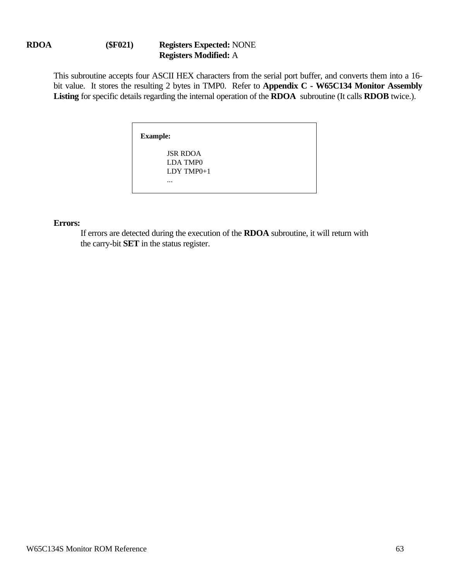## **RDOA (\$F021) Registers Expected:** NONE **Registers Modified:** A

This subroutine accepts four ASCII HEX characters from the serial port buffer, and converts them into a 16 bit value. It stores the resulting 2 bytes in TMP0. Refer to **Appendix C - W65C134 Monitor Assembly Listing** for specific details regarding the internal operation of the **RDOA** subroutine (It calls **RDOB** twice.).

| <b>Example:</b> |                             |
|-----------------|-----------------------------|
|                 | <b>JSR RDOA</b><br>LDA TMP0 |
|                 | $LDY$ TMP $0+1$             |
|                 | $\cdots$                    |

## **Errors:**

If errors are detected during the execution of the **RDOA** subroutine, it will return with the carry-bit **SET** in the status register.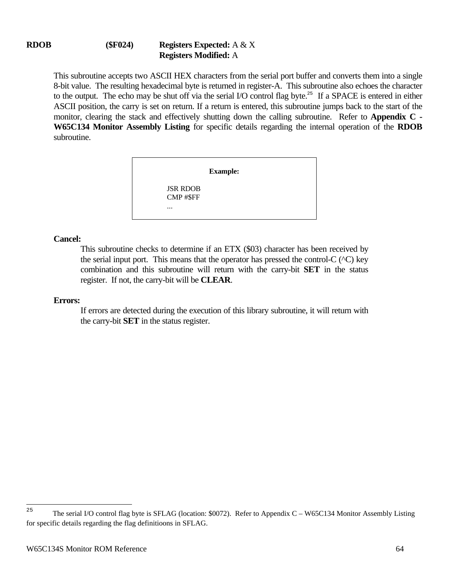This subroutine accepts two ASCII HEX characters from the serial port buffer and converts them into a single 8-bit value. The resulting hexadecimal byte is returned in register-A. This subroutine also echoes the character to the output. The echo may be shut off via the serial I/O control flag byte.<sup>25</sup> If a SPACE is entered in either ASCII position, the carry is set on return. If a return is entered, this subroutine jumps back to the start of the monitor, clearing the stack and effectively shutting down the calling subroutine. Refer to **Appendix C - W65C134 Monitor Assembly Listing** for specific details regarding the internal operation of the **RDOB** subroutine.

|                              | <b>Example:</b> |
|------------------------------|-----------------|
| <b>JSR RDOB</b><br>CMP #\$FF |                 |
| $\cdots$                     |                 |

## **Cancel:**

This subroutine checks to determine if an ETX (\$03) character has been received by the serial input port. This means that the operator has pressed the control-C  $(^\wedge$ C) key combination and this subroutine will return with the carry-bit **SET** in the status register. If not, the carry-bit will be **CLEAR**.

## **Errors:**

If errors are detected during the execution of this library subroutine, it will return with the carry-bit **SET** in the status register.

<sup>25</sup> <sup>25</sup> The serial I/O control flag byte is SFLAG (location: \$0072). Refer to Appendix C – W65C134 Monitor Assembly Listing for specific details regarding the flag definitioons in SFLAG.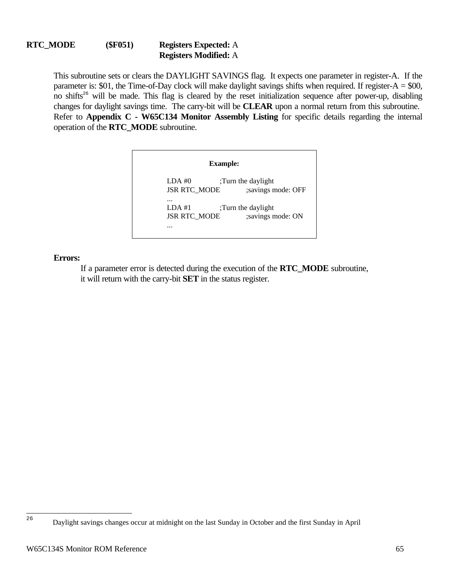This subroutine sets or clears the DAYLIGHT SAVINGS flag. It expects one parameter in register-A. If the parameter is:  $$01$ , the Time-of-Day clock will make daylight savings shifts when required. If register-A =  $$00$ , no shifts<sup>26</sup> will be made. This flag is cleared by the reset initialization sequence after power-up, disabling changes for daylight savings time. The carry-bit will be **CLEAR** upon a normal return from this subroutine. Refer to **Appendix C - W65C134 Monitor Assembly Listing** for specific details regarding the internal operation of the **RTC\_MODE** subroutine.

| <b>Example:</b>     |                    |  |
|---------------------|--------------------|--|
| LDA #0              | ;Turn the daylight |  |
| <b>JSR RTC_MODE</b> | ;savings mode: OFF |  |
| $LDA$ #1            | ;Turn the daylight |  |
| <b>JSR RTC_MODE</b> | ;savings mode: ON  |  |

**Errors:**

If a parameter error is detected during the execution of the **RTC\_MODE** subroutine, it will return with the carry-bit **SET** in the status register.

 $26$ <sup>26</sup> Daylight savings changes occur at midnight on the last Sunday in October and the first Sunday in April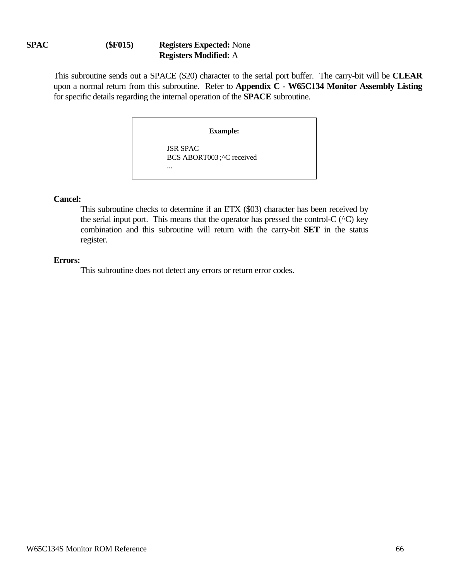## **SPAC (\$F015) Registers Expected:** None **Registers Modified:** A

This subroutine sends out a SPACE (\$20) character to the serial port buffer. The carry-bit will be **CLEAR** upon a normal return from this subroutine. Refer to **Appendix C - W65C134 Monitor Assembly Listing** for specific details regarding the internal operation of the **SPACE** subroutine.

**Example:**

JSR SPAC BCS ABORT003 ;^C received

### **Cancel:**

This subroutine checks to determine if an ETX (\$03) character has been received by the serial input port. This means that the operator has pressed the control-C  $(^\wedge$ C) key combination and this subroutine will return with the carry-bit **SET** in the status register.

### **Errors:**

This subroutine does not detect any errors or return error codes.

...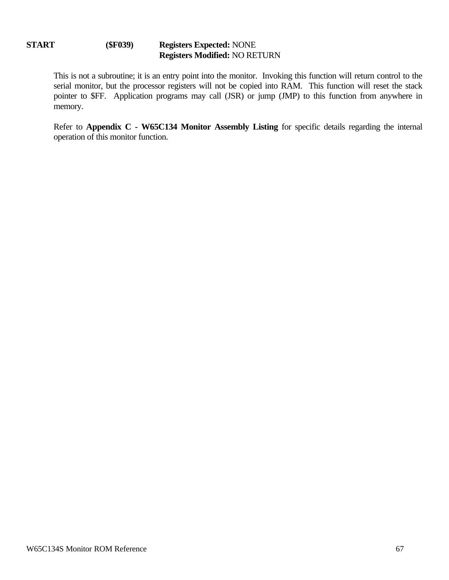## **START (\$F039) Registers Expected:** NONE **Registers Modified:** NO RETURN

This is not a subroutine; it is an entry point into the monitor. Invoking this function will return control to the serial monitor, but the processor registers will not be copied into RAM. This function will reset the stack pointer to \$FF. Application programs may call (JSR) or jump (JMP) to this function from anywhere in memory.

Refer to **Appendix C - W65C134 Monitor Assembly Listing** for specific details regarding the internal operation of this monitor function.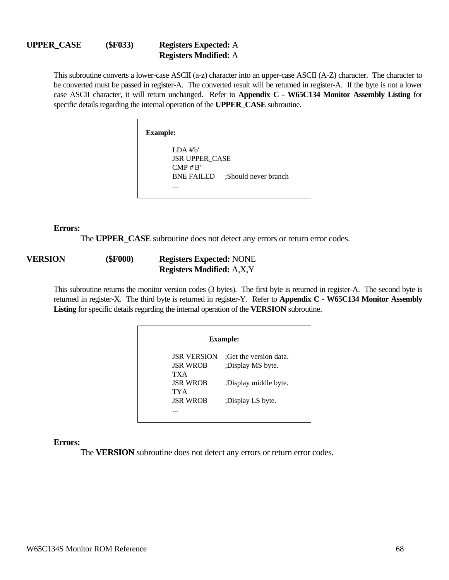#### **UPPER\_CASE (\$F033) Registers Expected:** A **Registers Modified:** A

This subroutine converts a lower-case ASCII (a-z) character into an upper-case ASCII (A-Z) character. The character to be converted must be passed in register-A. The converted result will be returned in register-A. If the byte is not a lower case ASCII character, it will return unchanged. Refer to **Appendix C - W65C134 Monitor Assembly Listing** for specific details regarding the internal operation of the **UPPER\_CASE** subroutine.

> **Example:** LDA #'b' JSR UPPER\_CASE CMP #'B' BNE FAILED :Should never branch

> > ...

#### **Errors:**

The **UPPER** CASE subroutine does not detect any errors or return error codes.

## **VERSION (\$F000) Registers Expected:** NONE **Registers Modified:** A,X,Y

This subroutine returns the monitor version codes (3 bytes). The first byte is returned in register-A. The second byte is returned in register-X. The third byte is returned in register-Y. Refer to **Appendix C - W65C134 Monitor Assembly Listing** for specific details regarding the internal operation of the **VERSION** subroutine.

|                    | <b>Example:</b>        |
|--------------------|------------------------|
| <b>JSR VERSION</b> | :Get the version data. |
| <b>JSR WROB</b>    | :Display MS byte.      |
| TX A               |                        |
| <b>ISR WROB</b>    | :Display middle byte.  |
| TYA                |                        |
| <b>ISR WROB</b>    | :Display LS byte.      |
| .                  |                        |
|                    |                        |

#### **Errors:**

The **VERSION** subroutine does not detect any errors or return error codes.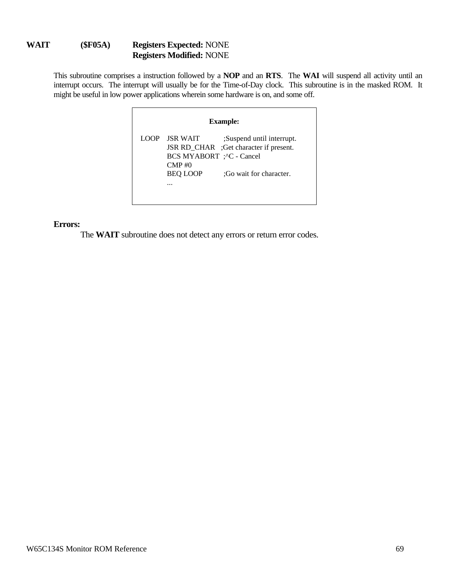## **WAIT (\$F05A) Registers Expected:** NONE **Registers Modified:** NONE

This subroutine comprises a instruction followed by a **NOP** and an **RTS**. The **WAI** will suspend all activity until an interrupt occurs. The interrupt will usually be for the Time-of-Day clock. This subroutine is in the masked ROM. It might be useful in low power applications wherein some hardware is on, and some off.

| <b>JSR WAIT</b><br>:Suspend until interrupt.<br>LOOP<br>JSR RD_CHAR ;Get character if present.<br>BCS MYABORT ; ^C - Cancel<br>$\text{CMP}\,\text{\#}0$ | <b>Example:</b> |                 |                         |
|---------------------------------------------------------------------------------------------------------------------------------------------------------|-----------------|-----------------|-------------------------|
|                                                                                                                                                         |                 | <b>BEO LOOP</b> | :Go wait for character. |

### **Errors:**

The **WAIT** subroutine does not detect any errors or return error codes.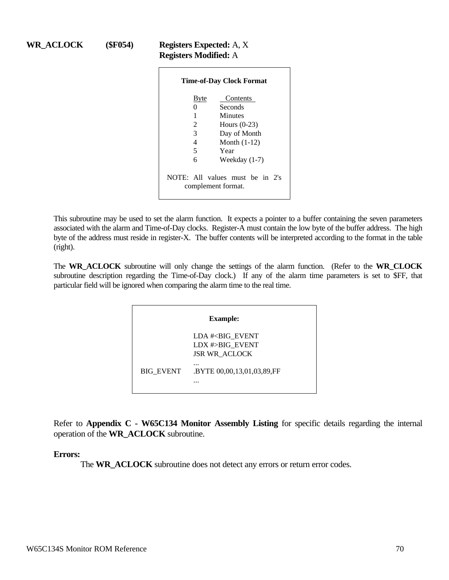## **WR\_ACLOCK (\$F054) Registers Expected:** A, X **Registers Modified:** A

|                                         | <b>Time-of-Day Clock Format</b>                                                                             |
|-----------------------------------------|-------------------------------------------------------------------------------------------------------------|
| Byte<br>0<br>1<br>2<br>3<br>4<br>5<br>6 | Contents<br>Seconds<br>Minutes<br>Hours $(0-23)$<br>Day of Month<br>Month $(1-12)$<br>Year<br>Weekday (1-7) |
|                                         | NOTE: All values must be in 2's<br>complement format.                                                       |

This subroutine may be used to set the alarm function. It expects a pointer to a buffer containing the seven parameters associated with the alarm and Time-of-Day clocks. Register-A must contain the low byte of the buffer address. The high byte of the address must reside in register-X. The buffer contents will be interpreted according to the format in the table (right).

The **WR\_ACLOCK** subroutine will only change the settings of the alarm function. (Refer to the **WR\_CLOCK** subroutine description regarding the Time-of-Day clock.) If any of the alarm time parameters is set to \$FF, that particular field will be ignored when comparing the alarm time to the real time.

| <b>Example:</b> |                                                                          |
|-----------------|--------------------------------------------------------------------------|
|                 | LDA # <big event<br="">LDX #&gt;BIG EVENT<br/><b>JSR WR ACLOCK</b></big> |
| BIG_EVENT       | <br>.BYTE 00,00,13,01,03,89,FF                                           |

Refer to **Appendix C - W65C134 Monitor Assembly Listing** for specific details regarding the internal operation of the **WR\_ACLOCK** subroutine.

## **Errors:**

The **WR\_ACLOCK** subroutine does not detect any errors or return error codes.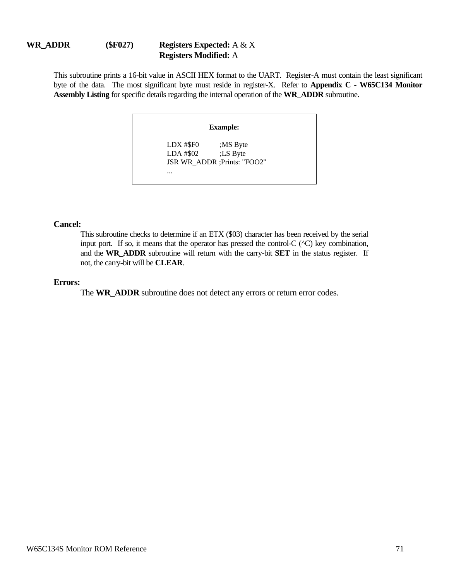## **WR\_ADDR (\$F027) Registers Expected:** A & X **Registers Modified:** A

This subroutine prints a 16-bit value in ASCII HEX format to the UART. Register-A must contain the least significant byte of the data. The most significant byte must reside in register-X. Refer to **Appendix C - W65C134 Monitor Assembly Listing** for specific details regarding the internal operation of the **WR\_ADDR** subroutine.

# **Example:** LDX #\$F0 ;MS Byte LDA #\$02 ;LS Byte JSR WR\_ADDR ;Prints: "FOO2" ...

### **Cancel:**

This subroutine checks to determine if an ETX (\$03) character has been received by the serial input port. If so, it means that the operator has pressed the control-C (^C) key combination, and the **WR\_ADDR** subroutine will return with the carry-bit **SET** in the status register. If not, the carry-bit will be **CLEAR**.

### **Errors:**

The **WR\_ADDR** subroutine does not detect any errors or return error codes.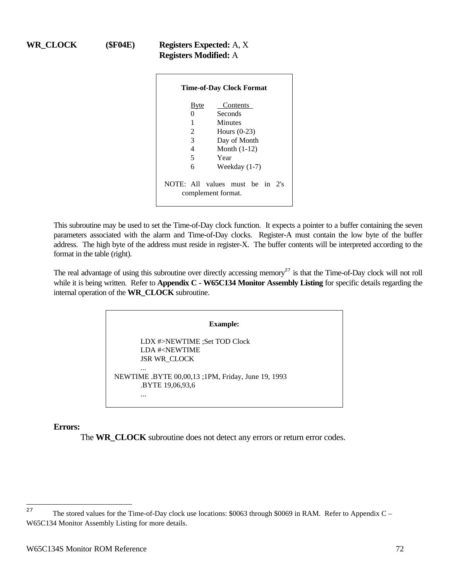## **WR\_CLOCK (\$F04E) Registers Expected:** A, X **Registers Modified:** A

|              | <b>Time-of-Day Clock Format</b>                         |
|--------------|---------------------------------------------------------|
| <b>B</b> yte | Contents                                                |
| 0            | Seconds                                                 |
| 1            | Minutes                                                 |
| 2            | Hours $(0-23)$                                          |
| 3            | Day of Month                                            |
| 4            | Month $(1-12)$                                          |
| 5            | Year                                                    |
| 6            | Weekday (1-7)                                           |
|              | NOTE: All values must be in<br>2s<br>complement format. |

This subroutine may be used to set the Time-of-Day clock function. It expects a pointer to a buffer containing the seven parameters associated with the alarm and Time-of-Day clocks. Register-A must contain the low byte of the buffer address. The high byte of the address must reside in register-X. The buffer contents will be interpreted according to the format in the table (right).

The real advantage of using this subroutine over directly accessing memory<sup>27</sup> is that the Time-of-Day clock will not roll while it is being written. Refer to **Appendix C - W65C134 Monitor Assembly Listing** for specific details regarding the internal operation of the **WR\_CLOCK** subroutine.

|                                                    | <b>Example:</b>                                    |  |
|----------------------------------------------------|----------------------------------------------------|--|
| LDA # <newtime<br><b>JSR WR CLOCK</b></newtime<br> | LDX #>NEWTIME :Set TOD Clock                       |  |
| <br>BYTE 19,06,93,6                                | NEWTIME .BYTE 00,00,13 ;1PM, Friday, June 19, 1993 |  |

## **Errors:**

The **WR\_CLOCK** subroutine does not detect any errors or return error codes.

 $2\,7$ The stored values for the Time-of-Day clock use locations: \$0063 through \$0069 in RAM. Refer to Appendix C – W65C134 Monitor Assembly Listing for more details.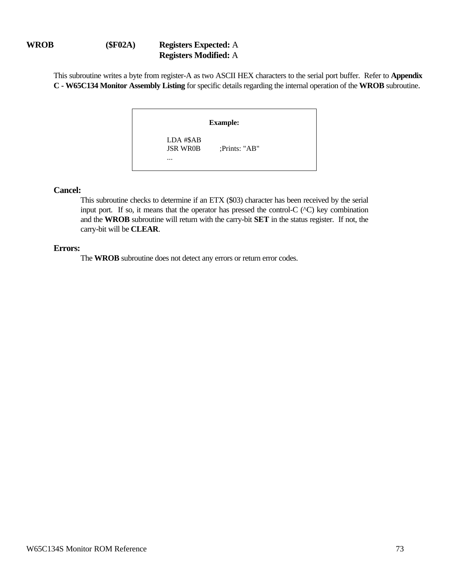# **WROB (\$F02A) Registers Expected:** A **Registers Modified:** A

This subroutine writes a byte from register-A as two ASCII HEX characters to the serial port buffer. Refer to **Appendix C - W65C134 Monitor Assembly Listing** for specific details regarding the internal operation of the **WROB** subroutine.

| <b>Example:</b>                          |               |  |  |  |
|------------------------------------------|---------------|--|--|--|
| LDA #\$AB<br><b>JSR WROB</b><br>$\cdots$ | ;Prints: "AB" |  |  |  |

## **Cancel:**

This subroutine checks to determine if an ETX (\$03) character has been received by the serial input port. If so, it means that the operator has pressed the control-C  $(^\wedge$ C) key combination and the **WROB** subroutine will return with the carry-bit **SET** in the status register. If not, the carry-bit will be **CLEAR**.

### **Errors:**

The **WROB** subroutine does not detect any errors or return error codes.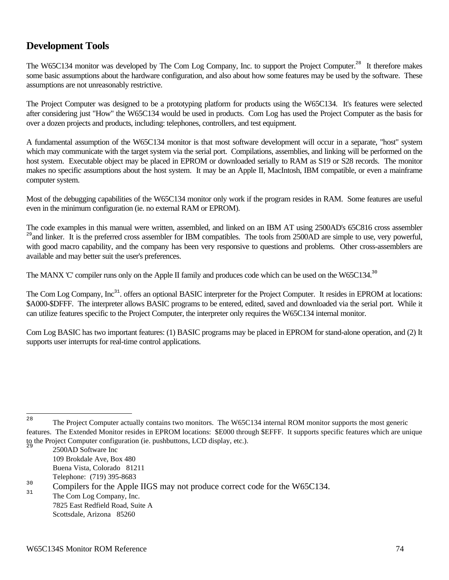# **Development Tools**

The W65C134 monitor was developed by The Com Log Company, Inc. to support the Project Computer.<sup>28</sup> It therefore makes some basic assumptions about the hardware configuration, and also about how some features may be used by the software. These assumptions are not unreasonably restrictive.

The Project Computer was designed to be a prototyping platform for products using the W65C134. It's features were selected after considering just "How" the W65C134 would be used in products. Com Log has used the Project Computer as the basis for over a dozen projects and products, including: telephones, controllers, and test equipment.

A fundamental assumption of the W65C134 monitor is that most software development will occur in a separate, "host" system which may communicate with the target system via the serial port. Compilations, assemblies, and linking will be performed on the host system. Executable object may be placed in EPROM or downloaded serially to RAM as S19 or S28 records. The monitor makes no specific assumptions about the host system. It may be an Apple II, MacIntosh, IBM compatible, or even a mainframe computer system.

Most of the debugging capabilities of the W65C134 monitor only work if the program resides in RAM. Some features are useful even in the minimum configuration (ie. no external RAM or EPROM).

The code examples in this manual were written, assembled, and linked on an IBM AT using 2500AD's 65C816 cross assembler <sup>29</sup> and linker. It is the preferred cross assembler for IBM compatibles. The tools from 2500AD are simple to use, very powerful, with good macro capability, and the company has been very responsive to questions and problems. Other cross-assemblers are available and may better suit the user's preferences.

The MANX 'C' compiler runs only on the Apple II family and produces code which can be used on the W65C134.<sup>30</sup>

The Com Log Company, Inc<sup>31</sup>, offers an optional BASIC interpreter for the Project Computer. It resides in EPROM at locations: \$A000-\$DFFF. The interpreter allows BASIC programs to be entered, edited, saved and downloaded via the serial port. While it can utilize features specific to the Project Computer, the interpreter only requires the W65C134 internal monitor.

Com Log BASIC has two important features: (1) BASIC programs may be placed in EPROM for stand-alone operation, and (2) It supports user interrupts for real-time control applications.

2500AD Software Inc 109 Brokdale Ave, Box 480 Buena Vista, Colorado 81211 Telephone: (719) 395-8683

The Com Log Company, Inc. 7825 East Redfield Road, Suite A Scottsdale, Arizona 85260

 $28$ The Project Computer actually contains two monitors. The W65C134 internal ROM monitor supports the most generic features. The Extended Monitor resides in EPROM locations: \$E000 through \$EFFF. It supports specific features which are unique to the Project Computer configuration (ie. pushbuttons, LCD display, etc.).

 $\frac{30}{31}$  Compilers for the Apple IIGS may not produce correct code for the W65C134.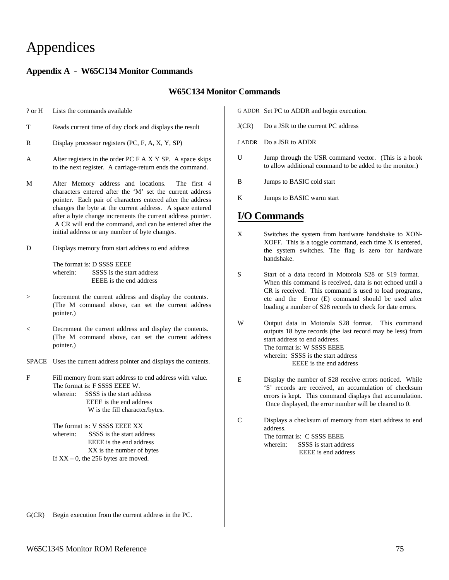# Appendices

## **Appendix A - W65C134 Monitor Commands**

#### **W65C134 Monitor Commands**

? or H Lists the commands available

- T Reads current time of day clock and displays the result
- R Display processor registers (PC, F, A, X, Y, SP)
- A Alter registers in the order PC F A X Y SP. A space skips to the next register. A carriage-return ends the command.
- M Alter Memory address and locations. The first 4 characters entered after the 'M' set the current address pointer. Each pair of characters entered after the address changes the byte at the current address. A space entered after a byte change increments the current address pointer. A CR will end the command, and can be entered after the initial address or any number of byte changes.
- D Displays memory from start address to end address

The format is: D SSSS EEEE wherein: SSSS is the start address EEEE is the end address

- > Increment the current address and display the contents. (The M command above, can set the current address pointer.)
- < Decrement the current address and display the contents. (The M command above, can set the current address pointer.)
- SPACE Uses the current address pointer and displays the contents.
- F Fill memory from start address to end address with value. The format is: F SSSS EEEE W. wherein: SSSS is the start address EEEE is the end address W is the fill character/bytes.

The format is: V SSSS EEEE XX wherein: SSSS is the start address EEEE is the end address XX is the number of bytes If  $XX - 0$ , the 256 bytes are moved.

- G ADDR Set PC to ADDR and begin execution.
- J(CR) Do a JSR to the current PC address
- J ADDR Do a JSR to ADDR
- U Jump through the USR command vector. (This is a hook to allow additional command to be added to the monitor.)
- B Jumps to BASIC cold start
- K Jumps to BASIC warm start

# **I/O Commands**

- X Switches the system from hardware handshake to XON-XOFF. This is a toggle command, each time X is entered, the system switches. The flag is zero for hardware handshake.
- S Start of a data record in Motorola S28 or S19 format. When this command is received, data is not echoed until a CR is received. This command is used to load programs, etc and the Error (E) command should be used after loading a number of S28 records to check for date errors.
- W Output data in Motorola S28 format. This command outputs 18 byte records (the last record may be less) from start address to end address. The format is: W SSSS EEEE wherein: SSSS is the start address EEEE is the end address
- E Display the number of S28 receive errors noticed. While 'S' records are received, an accumulation of checksum errors is kept. This command displays that accumulation. Once displayed, the error number will be cleared to 0.

C Displays a checksum of memory from start address to end address. The format is: C SSSS EEEE wherein: SSSS is start address EEEE is end address

G(CR) Begin execution from the current address in the PC.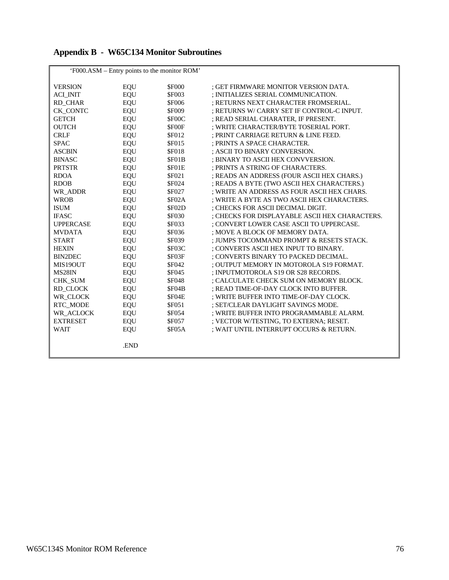|  | <b>Appendix B - W65C134 Monitor Subroutines</b> |  |
|--|-------------------------------------------------|--|
|--|-------------------------------------------------|--|

|                  |            | 'F000.ASM – Entry points to the monitor ROM' |                                                |
|------------------|------------|----------------------------------------------|------------------------------------------------|
| <b>VERSION</b>   | EQU        | <b>\$F000</b>                                | ; GET FIRMWARE MONITOR VERSION DATA.           |
| <b>ACI INIT</b>  | <b>EQU</b> | <b>\$F003</b>                                | ; INITIALIZES SERIAL COMMUNICATION.            |
| RD CHAR          | EQU        | <b>\$F006</b>                                | : RETURNS NEXT CHARACTER FROMSERIAL.           |
| CK CONTC         | EQU        | <b>\$F009</b>                                | ; RETURNS W/ CARRY SET IF CONTROL-C INPUT.     |
| <b>GETCH</b>     | <b>EQU</b> | \$F00C                                       | ; READ SERIAL CHARATER, IF PRESENT.            |
| <b>OUTCH</b>     | <b>EQU</b> | \$F00F                                       | ; WRITE CHARACTER/BYTE TOSERIAL PORT.          |
| <b>CRLF</b>      | <b>EQU</b> | \$F012                                       | ; PRINT CARRIAGE RETURN & LINE FEED.           |
| <b>SPAC</b>      | <b>EQU</b> | \$F015                                       | ; PRINTS A SPACE CHARACTER.                    |
| <b>ASCBIN</b>    | <b>EQU</b> | \$F018                                       | ; ASCII TO BINARY CONVERSION.                  |
| <b>BINASC</b>    | <b>EQU</b> | \$F01B                                       | ; BINARY TO ASCII HEX CONVVERSION.             |
| <b>PRTSTR</b>    | <b>EQU</b> | \$F01E                                       | ; PRINTS A STRING OF CHARACTERS.               |
| <b>RDOA</b>      | EQU        | \$F021                                       | ; READS AN ADDRESS (FOUR ASCII HEX CHARS.)     |
| <b>RDOB</b>      | EQU        | \$F024                                       | ; READS A BYTE (TWO ASCII HEX CHARACTERS.)     |
| WR ADDR          | EQU        | <b>\$F027</b>                                | ; WRITE AN ADDRESS AS FOUR ASCII HEX CHARS.    |
| <b>WROB</b>      | EQU        | <b>\$F02A</b>                                | ; WRITE A BYTE AS TWO ASCII HEX CHARACTERS.    |
| <b>ISUM</b>      | EQU        | <b>\$F02D</b>                                | ; CHECKS FOR ASCII DECIMAL DIGIT.              |
| <b>IFASC</b>     | EQU        | \$F030                                       | ; CHECKS FOR DISPLAYABLE ASCII HEX CHARACTERS. |
| <b>UPPERCASE</b> | EQU        | <b>\$F033</b>                                | ; CONVERT LOWER CASE ASCII TO UPPERCASE.       |
| <b>MVDATA</b>    | EQU        | <b>\$F036</b>                                | ; MOVE A BLOCK OF MEMORY DATA.                 |
| <b>START</b>     | EQU        | <b>\$F039</b>                                | ; JUMPS TOCOMMAND PROMPT & RESETS STACK.       |
| <b>HEXIN</b>     | EQU        | \$F03C                                       | ; CONVERTS ASCII HEX INPUT TO BINARY.          |
| <b>BIN2DEC</b>   | EQU        | \$F03F                                       | ; CONVERTS BINARY TO PACKED DECIMAL.           |
| MIS19OUT         | EQU        | <b>\$F042</b>                                | ; OUTPUT MEMORY IN MOTOROLA S19 FORMAT.        |
| MS28IN           | EQU        | <b>\$F045</b>                                | ; INPUTMOTOROLA S19 OR S28 RECORDS.            |
| <b>CHK SUM</b>   | <b>EQU</b> | <b>\$F048</b>                                | ; CALCULATE CHECK SUM ON MEMORY BLOCK.         |
| RD CLOCK         | EQU        | <b>\$F04B</b>                                | ; READ TIME-OF-DAY CLOCK INTO BUFFER.          |
| WR_CLOCK         | EQU        | \$F04E                                       | ; WRITE BUFFER INTO TIME-OF-DAY CLOCK.         |
| RTC_MODE         | <b>EQU</b> | \$F051                                       | ; SET/CLEAR DAYLIGHT SAVINGS MODE.             |
| WR_ACLOCK        | <b>EQU</b> | \$F054                                       | ; WRITE BUFFER INTO PROGRAMMABLE ALARM.        |
| <b>EXTRESET</b>  | <b>EQU</b> | <b>\$F057</b>                                | ; VECTOR W/TESTING, TO EXTERNA; RESET.         |
| <b>WAIT</b>      | <b>EQU</b> | <b>\$F05A</b>                                | ; WAIT UNTIL INTERRUPT OCCURS & RETURN.        |
|                  | .END       |                                              |                                                |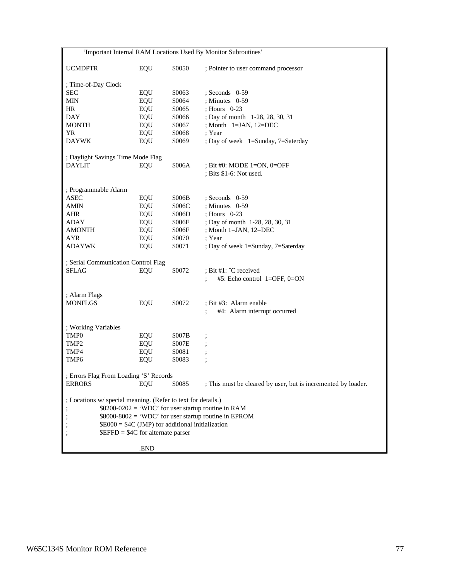| 'Important Internal RAM Locations Used By Monitor Subroutines' |            |        |                                                               |  |
|----------------------------------------------------------------|------------|--------|---------------------------------------------------------------|--|
| <b>UCMDPTR</b>                                                 | EQU        | \$0050 | ; Pointer to user command processor                           |  |
| ; Time-of-Day Clock                                            |            |        |                                                               |  |
| <b>SEC</b>                                                     | EQU        | \$0063 | $;$ Seconds 0-59                                              |  |
| <b>MIN</b>                                                     | EQU        | \$0064 | : Minutes $0-59$                                              |  |
| HR                                                             | EQU        | \$0065 | ; Hours 0-23                                                  |  |
| <b>DAY</b>                                                     | EQU        | \$0066 | ; Day of month 1-28, 28, 30, 31                               |  |
| <b>MONTH</b>                                                   | EQU        | \$0067 | ; Month $1=JAN$ , $12=DEC$                                    |  |
| YR                                                             | EQU        | \$0068 | ; Year                                                        |  |
| <b>DAYWK</b>                                                   | EQU        | \$0069 | ; Day of week 1=Sunday, 7=Saterday                            |  |
| ; Daylight Savings Time Mode Flag                              |            |        |                                                               |  |
| DAYLIT                                                         | EQU        | \$006A | ; Bit #0: MODE 1=ON, $0=OFF$                                  |  |
|                                                                |            |        | $;$ Bits \$1-6: Not used.                                     |  |
| ; Programmable Alarm                                           |            |        |                                                               |  |
| <b>ASEC</b>                                                    | EQU        | \$006B | $;$ Seconds 0-59                                              |  |
| AMIN                                                           | EQU        | \$006C | : Minutes $0-59$                                              |  |
| AHR                                                            | EQU        | \$006D | : Hours 0-23                                                  |  |
| <b>ADAY</b>                                                    | EQU        | \$006E | ; Day of month 1-28, 28, 30, 31                               |  |
| AMONTH                                                         | EQU        | \$006F | ; Month 1=JAN, 12=DEC                                         |  |
| <b>AYR</b>                                                     | EQU        | \$0070 | ; Year                                                        |  |
| <b>ADAYWK</b>                                                  | EQU        | \$0071 | ; Day of week 1=Sunday, 7=Saterday                            |  |
|                                                                |            |        |                                                               |  |
| ; Serial Communication Control Flag                            |            |        |                                                               |  |
| <b>SFLAG</b>                                                   | EQU        | \$0072 | ; Bit #1: $\mathcal{C}$ received                              |  |
|                                                                |            |        | #5: Echo control 1=OFF, 0=ON                                  |  |
| ; Alarm Flags                                                  |            |        |                                                               |  |
| <b>MONFLGS</b>                                                 | EQU        | \$0072 | ; Bit #3: Alarm enable                                        |  |
|                                                                |            |        | #4: Alarm interrupt occurred                                  |  |
| ; Working Variables                                            |            |        |                                                               |  |
| TMP <sub>0</sub>                                               | <b>EQU</b> | \$007B |                                                               |  |
| TMP <sub>2</sub>                                               | EQU        | \$007E |                                                               |  |
| TMP4                                                           | EQU        | \$0081 |                                                               |  |
| TMP <sub>6</sub>                                               | EQU        | \$0083 |                                                               |  |
| ; Errors Flag From Loading 'S' Records                         |            |        |                                                               |  |
| <b>ERRORS</b>                                                  | EQU        | \$0085 | ; This must be cleared by user, but is incremented by loader. |  |
|                                                                |            |        |                                                               |  |
| ; Locations w/ special meaning. (Refer to text for details.)   |            |        |                                                               |  |
| $$0200-0202 = 'WDC'$ for user startup routine in RAM           |            |        |                                                               |  |
| $$8000-8002 = 'WDC'$ for user startup routine in EPROM         |            |        |                                                               |  |
| $$E000 = $4C$ (JMP) for additional initialization              |            |        |                                                               |  |
| $EFFD = $4C$ for alternate parser                              |            |        |                                                               |  |
|                                                                | .END       |        |                                                               |  |
|                                                                |            |        |                                                               |  |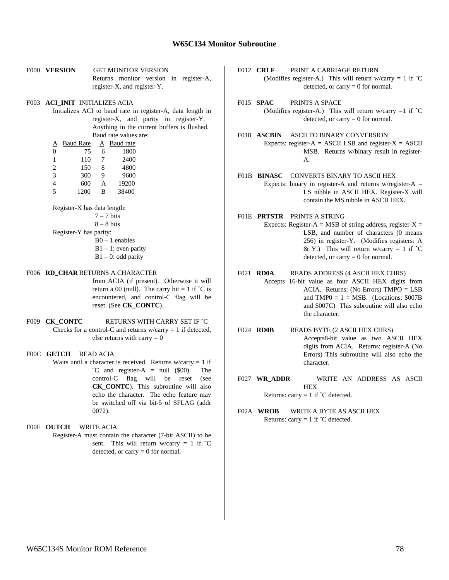#### **W65C134 Monitor Subroutine**

- F000 **VERSION** GET MONITOR VERSION Returns monitor version in register-A, register-X, and register-Y.
- F003 **ACI\_INIT** INITIALIZES ACIA
	- Initializes ACI to baud rate in register-A, data length in register-X, and parity in register-Y. Anything in the current buffers is flushed. Baud rate values are:

| А              | <b>Baud Rate</b> | Α | Baud rate |
|----------------|------------------|---|-----------|
| $\theta$       | 75               | 6 | 1800      |
| 1              | 110              | 7 | 2400      |
| 2              | 150              | 8 | 4800      |
| $\mathcal{R}$  | 300              | 9 | 9600      |
| 4              | 600              | A | 19200     |
| $\overline{5}$ | 1200             | в | 38400     |

Register-X has data length:

 $7 - 7$  hits

 $8 - 8$  bits

Register-Y has parity:

 B0 – 1 enables  $B1 - 1$ : even parity  $B1 - 0$ : odd parity

#### F006 **RD\_CHAR** RETURNS A CHARACTER

from ACIA (if present). Otherwise it will return a 00 (null). The carry bit  $= 1$  if  $\hat{C}$  is encountered, and control-C flag will be reset. (See **CK\_CONTC**).

F009 **CK\_CONTC** RETURNS WITH CARRY SET IF  $\degree$ C Checks for a control-C and returns  $w/carrow = 1$  if detected, else returns with carry  $= 0$ 

F00C **GETCH** READ ACIA

Waits until a character is received. Returns  $w/carry = 1$  if  $\text{°C}$  and register-A = null (\$00). The control-C flag will be reset (see **CK\_CONTC**). This subroutine will also echo the character. The echo feature may be switched off via bit-5 of SFLAG (addr 0072).

F00F **OUTCH** WRITE ACIA

Register-A must contain the character (7-bit ASCII) to be sent. This will return w/carry = 1 if  $\degree$ C detected, or carry  $= 0$  for normal.

- F012 **CRLF** PRINT A CARRIAGE RETURN (Modifies register-A.) This will return w/carry = 1 if  $\hat{C}$ detected, or carry  $= 0$  for normal.
- F015 **SPAC** PRINTS A SPACE (Modifies register-A.) This will return w/carry  $=1$  if  $\hat{C}$ detected, or carry  $= 0$  for normal.
- F018 **ASCBIN** ASCII TO BINARY CONVERSION Expects: register- $A = ASCII$  LSB and register- $X = ASCII$ MSB. Returns w/binary result in register-A.
- F01B **BINASC** CONVERTS BINARY TO ASCII HEX Expects: binary in register-A and returns w/register-A  $=$ LS nibble in ASCII HEX. Register-X will contain the MS nibble in ASCII HEX.
- F01E **PRTSTR** PRINTS A STRING Expects: Register-A = MSB of string address, register-X = LSB, and number of characters (0 means 256) in register-Y. (Modifies registers: A & Y.) This will return w/carry = 1 if  $\degree$ C detected, or carry  $= 0$  for normal.
- F021 **RD0A** READS ADDRESS (4 ASCII HEX CHRS) Accepts 16-bit value as four ASCII HEX digits from ACIA. Returns: (No Errors) TMPO = LSB and  $TMP0 = 1 = MSB$ . (Locations: \$007B) and \$007C) This subroutine will also echo the character.
- F024 **RD0B** READS BYTE (2 ASCII HEX CHRS) Accepts8-bit value as two ASCII HEX digits from ACIA. Returns: register-A (No Errors) This subroutine will also echo the character.
- F027 **WR\_ADDR** WRITE AN ADDRESS AS ASCII **HEX** Returns: carry = 1 if  $\hat{C}$  detected.
- F02A **WROB** WRITE A BYTE AS ASCII HEX Returns: carry = 1 if  $\degree$ C detected.